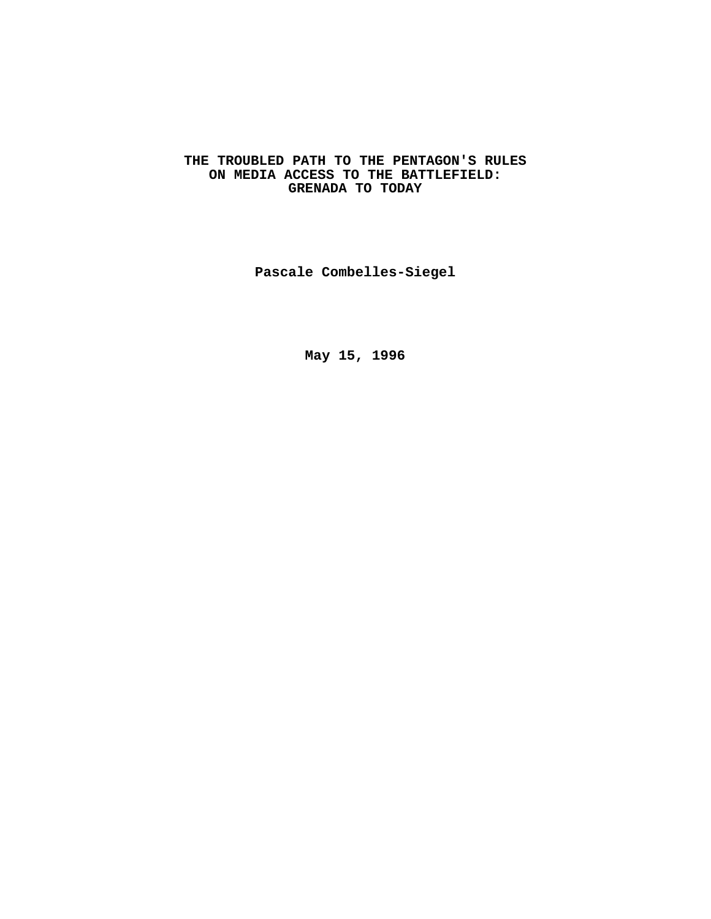# **THE TROUBLED PATH TO THE PENTAGON'S RULES ON MEDIA ACCESS TO THE BATTLEFIELD: GRENADA TO TODAY**

**Pascale Combelles-Siegel**

**May 15, 1996**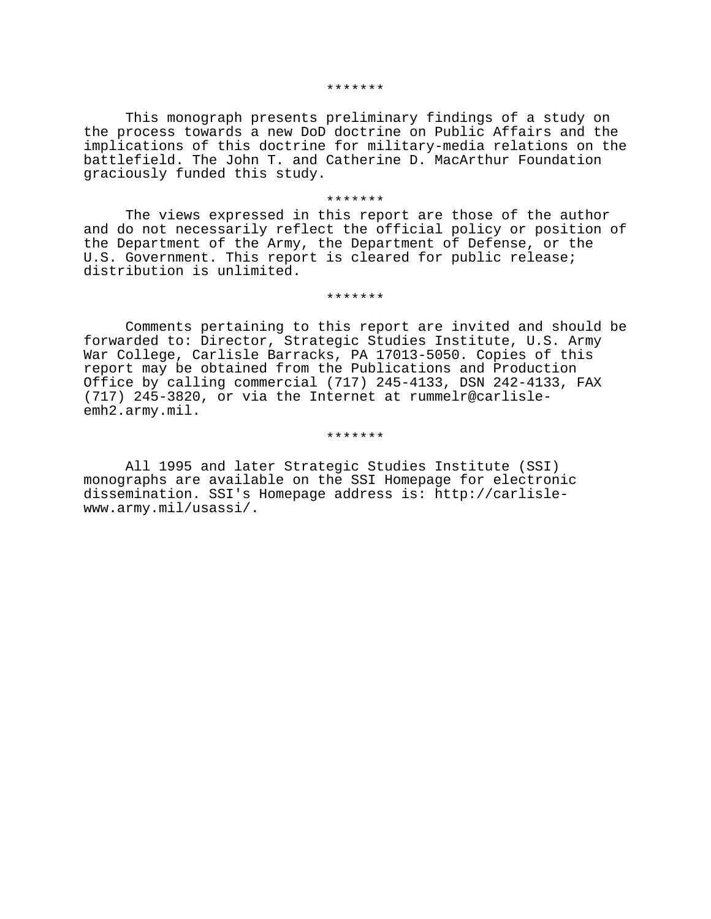#### \*\*\*\*\*\*\*

This monograph presents preliminary findings of a study on the process towards a new DoD doctrine on Public Affairs and the implications of this doctrine for military-media relations on the battlefield. The John T. and Catherine D. MacArthur Foundation graciously funded this study.

### \*\*\*\*\*\*\*

The views expressed in this report are those of the author and do not necessarily reflect the official policy or position of the Department of the Army, the Department of Defense, or the U.S. Government. This report is cleared for public release; distribution is unlimited.

#### \*\*\*\*\*\*\*

Comments pertaining to this report are invited and should be forwarded to: Director, Strategic Studies Institute, U.S. Army War College, Carlisle Barracks, PA 17013-5050. Copies of this report may be obtained from the Publications and Production Office by calling commercial (717) 245-4133, DSN 242-4133, FAX (717) 245-3820, or via the Internet at rummelr@carlisleemh2.army.mil.

#### \*\*\*\*\*\*\*

All 1995 and later Strategic Studies Institute (SSI) monographs are available on the SSI Homepage for electronic dissemination. SSI's Homepage address is: http://carlislewww.army.mil/usassi/.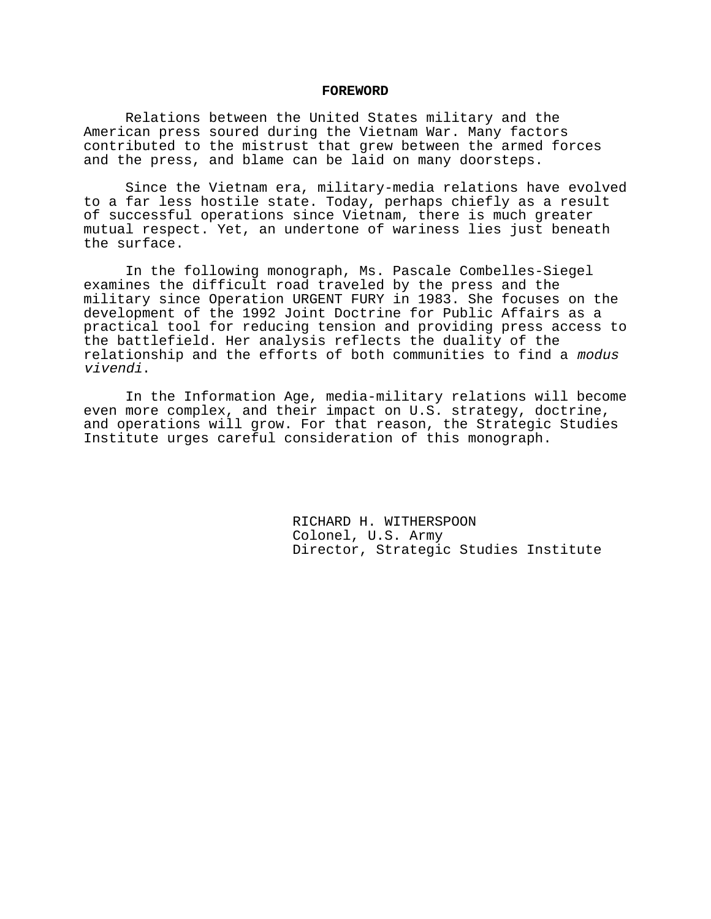#### **FOREWORD**

Relations between the United States military and the American press soured during the Vietnam War. Many factors contributed to the mistrust that grew between the armed forces and the press, and blame can be laid on many doorsteps.

Since the Vietnam era, military-media relations have evolved to a far less hostile state. Today, perhaps chiefly as a result of successful operations since Vietnam, there is much greater mutual respect. Yet, an undertone of wariness lies just beneath the surface.

In the following monograph, Ms. Pascale Combelles-Siegel examines the difficult road traveled by the press and the military since Operation URGENT FURY in 1983. She focuses on the development of the 1992 Joint Doctrine for Public Affairs as a practical tool for reducing tension and providing press access to the battlefield. Her analysis reflects the duality of the relationship and the efforts of both communities to find a modus vivendi.

In the Information Age, media-military relations will become even more complex, and their impact on U.S. strategy, doctrine, and operations will grow. For that reason, the Strategic Studies Institute urges careful consideration of this monograph.

> RICHARD H. WITHERSPOON Colonel, U.S. Army Director, Strategic Studies Institute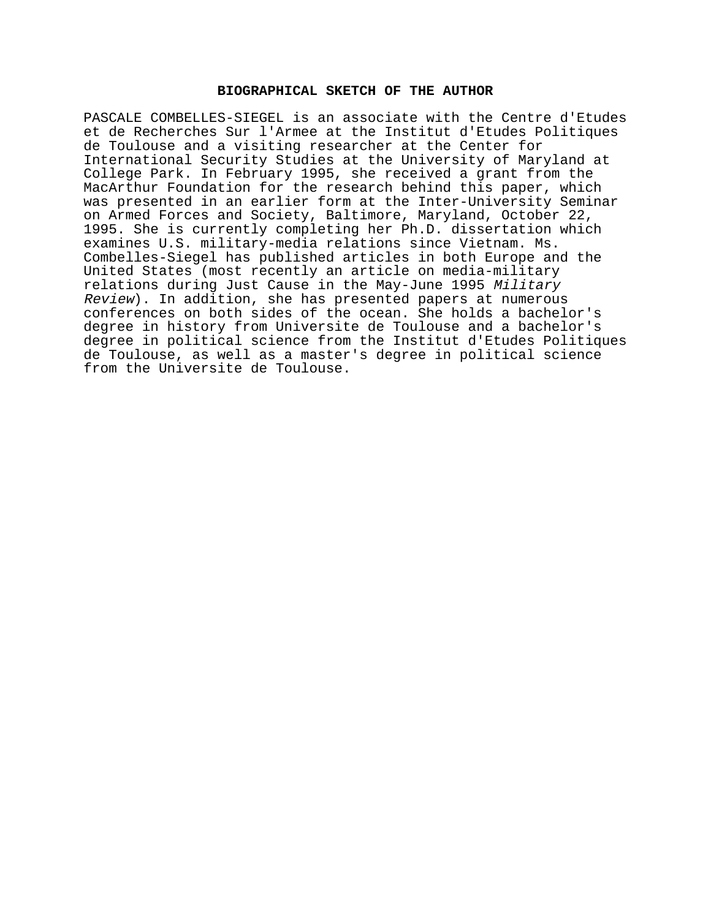## **BIOGRAPHICAL SKETCH OF THE AUTHOR**

PASCALE COMBELLES-SIEGEL is an associate with the Centre d'Etudes et de Recherches Sur l'Armee at the Institut d'Etudes Politiques de Toulouse and a visiting researcher at the Center for International Security Studies at the University of Maryland at College Park. In February 1995, she received a grant from the MacArthur Foundation for the research behind this paper, which was presented in an earlier form at the Inter-University Seminar on Armed Forces and Society, Baltimore, Maryland, October 22, 1995. She is currently completing her Ph.D. dissertation which examines U.S. military-media relations since Vietnam. Ms. Combelles-Siegel has published articles in both Europe and the United States (most recently an article on media-military relations during Just Cause in the May-June 1995 Military Review). In addition, she has presented papers at numerous conferences on both sides of the ocean. She holds a bachelor's degree in history from Universite de Toulouse and a bachelor's degree in political science from the Institut d'Etudes Politiques de Toulouse, as well as a master's degree in political science from the Universite de Toulouse.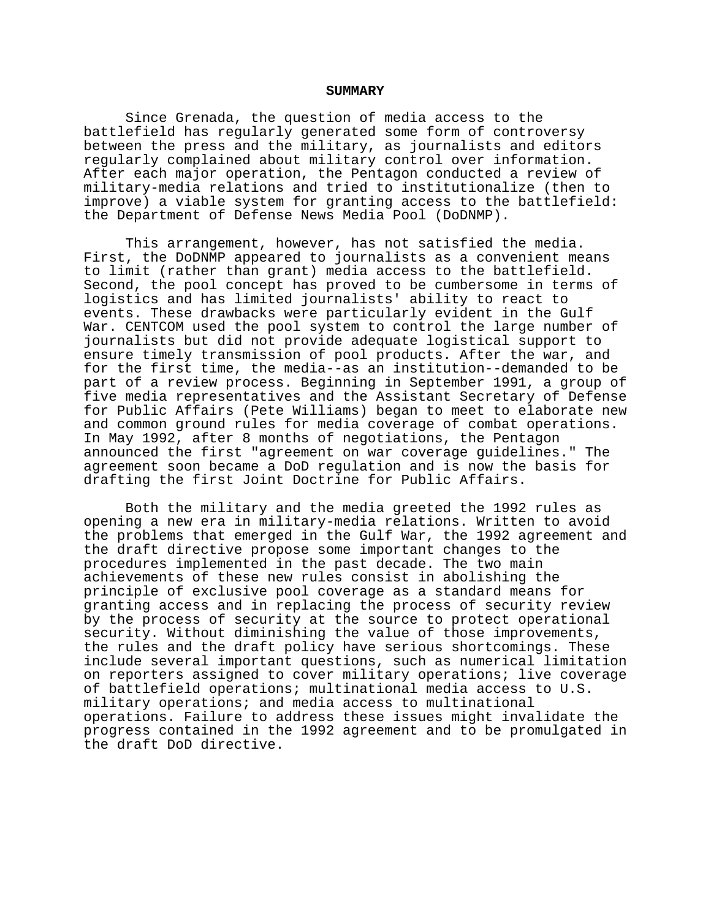#### **SUMMARY**

Since Grenada, the question of media access to the battlefield has regularly generated some form of controversy between the press and the military, as journalists and editors regularly complained about military control over information. After each major operation, the Pentagon conducted a review of military-media relations and tried to institutionalize (then to improve) a viable system for granting access to the battlefield: the Department of Defense News Media Pool (DoDNMP).

This arrangement, however, has not satisfied the media. First, the DoDNMP appeared to journalists as a convenient means to limit (rather than grant) media access to the battlefield. Second, the pool concept has proved to be cumbersome in terms of logistics and has limited journalists' ability to react to events. These drawbacks were particularly evident in the Gulf War. CENTCOM used the pool system to control the large number of journalists but did not provide adequate logistical support to ensure timely transmission of pool products. After the war, and for the first time, the media--as an institution--demanded to be part of a review process. Beginning in September 1991, a group of five media representatives and the Assistant Secretary of Defense for Public Affairs (Pete Williams) began to meet to elaborate new and common ground rules for media coverage of combat operations. In May 1992, after 8 months of negotiations, the Pentagon announced the first "agreement on war coverage guidelines." The agreement soon became a DoD regulation and is now the basis for drafting the first Joint Doctrine for Public Affairs.

Both the military and the media greeted the 1992 rules as opening a new era in military-media relations. Written to avoid the problems that emerged in the Gulf War, the 1992 agreement and the draft directive propose some important changes to the procedures implemented in the past decade. The two main achievements of these new rules consist in abolishing the principle of exclusive pool coverage as a standard means for granting access and in replacing the process of security review by the process of security at the source to protect operational security. Without diminishing the value of those improvements, the rules and the draft policy have serious shortcomings. These include several important questions, such as numerical limitation on reporters assigned to cover military operations; live coverage of battlefield operations; multinational media access to U.S. military operations; and media access to multinational operations. Failure to address these issues might invalidate the progress contained in the 1992 agreement and to be promulgated in the draft DoD directive.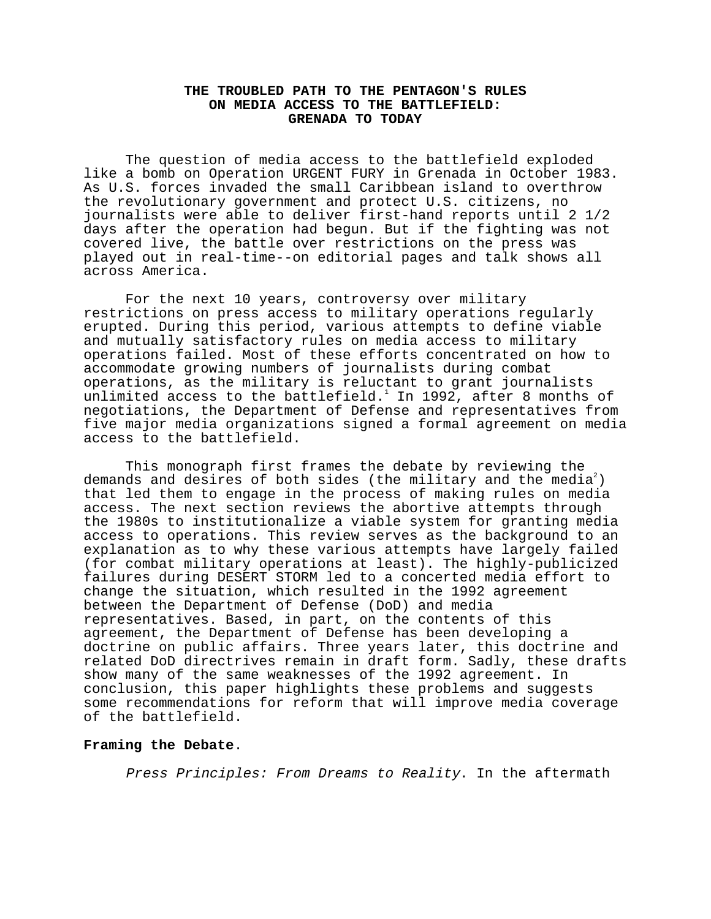## **THE TROUBLED PATH TO THE PENTAGON'S RULES ON MEDIA ACCESS TO THE BATTLEFIELD: GRENADA TO TODAY**

The question of media access to the battlefield exploded like a bomb on Operation URGENT FURY in Grenada in October 1983. As U.S. forces invaded the small Caribbean island to overthrow the revolutionary government and protect U.S. citizens, no journalists were able to deliver first-hand reports until 2 1/2 days after the operation had begun. But if the fighting was not covered live, the battle over restrictions on the press was played out in real-time--on editorial pages and talk shows all across America.

For the next 10 years, controversy over military restrictions on press access to military operations regularly erupted. During this period, various attempts to define viable and mutually satisfactory rules on media access to military operations failed. Most of these efforts concentrated on how to accommodate growing numbers of journalists during combat operations, as the military is reluctant to grant journalists unlimited access to the battlefield. $^1$  In 1992, after 8 months of negotiations, the Department of Defense and representatives from five major media organizations signed a formal agreement on media access to the battlefield.

This monograph first frames the debate by reviewing the demands and desires of both sides (the military and the media<sup>2</sup>) that led them to engage in the process of making rules on media access. The next section reviews the abortive attempts through the 1980s to institutionalize a viable system for granting media access to operations. This review serves as the background to an explanation as to why these various attempts have largely failed (for combat military operations at least). The highly-publicized failures during DESERT STORM led to a concerted media effort to change the situation, which resulted in the 1992 agreement between the Department of Defense (DoD) and media representatives. Based, in part, on the contents of this agreement, the Department of Defense has been developing a doctrine on public affairs. Three years later, this doctrine and related DoD directrives remain in draft form. Sadly, these drafts show many of the same weaknesses of the 1992 agreement. In conclusion, this paper highlights these problems and suggests some recommendations for reform that will improve media coverage of the battlefield.

# **Framing the Debate**.

Press Principles: From Dreams to Reality. In the aftermath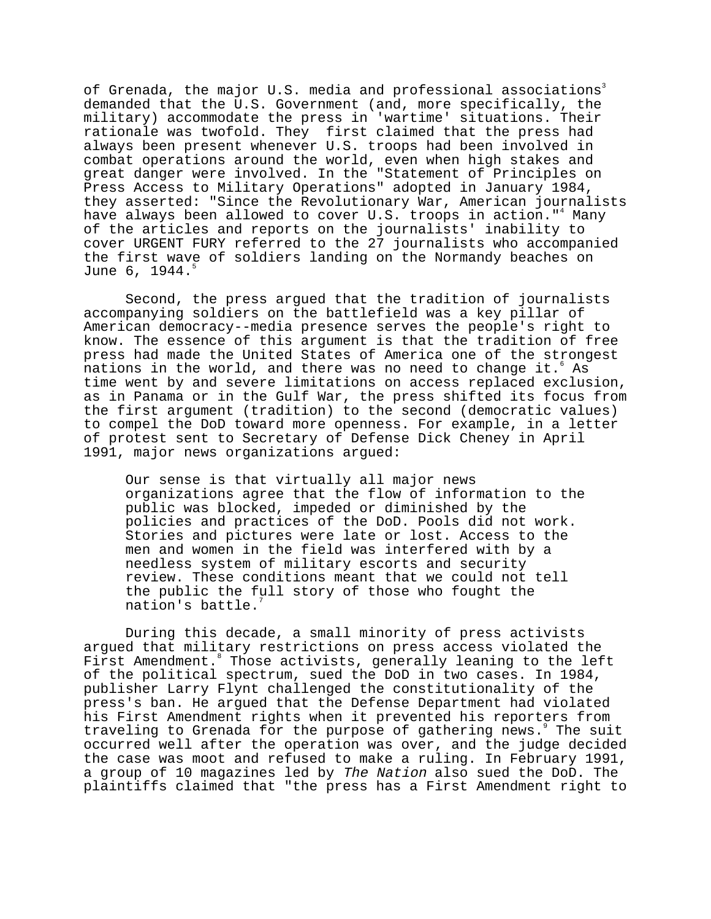of Grenada, the major U.S. media and professional associations<sup>3</sup> demanded that the U.S. Government (and, more specifically, the military) accommodate the press in 'wartime' situations. Their rationale was twofold. They first claimed that the press had always been present whenever U.S. troops had been involved in combat operations around the world, even when high stakes and great danger were involved. In the "Statement of Principles on Press Access to Military Operations" adopted in January 1984, they asserted: "Since the Revolutionary War, American journalists have always been allowed to cover U.S. troops in action."<sup>4</sup> Many of the articles and reports on the journalists' inability to cover URGENT FURY referred to the 27 journalists who accompanied the first wave of soldiers landing on the Normandy beaches on June  $6, 1944.$ 

Second, the press argued that the tradition of journalists accompanying soldiers on the battlefield was a key pillar of American democracy--media presence serves the people's right to know. The essence of this argument is that the tradition of free press had made the United States of America one of the strongest  $\bar{\text{n}}$ ations in the world, and there was no need to change it. $^{\circ}$  As time went by and severe limitations on access replaced exclusion, as in Panama or in the Gulf War, the press shifted its focus from the first argument (tradition) to the second (democratic values) to compel the DoD toward more openness. For example, in a letter of protest sent to Secretary of Defense Dick Cheney in April 1991, major news organizations argued:

Our sense is that virtually all major news organizations agree that the flow of information to the public was blocked, impeded or diminished by the policies and practices of the DoD. Pools did not work. Stories and pictures were late or lost. Access to the men and women in the field was interfered with by a needless system of military escorts and security review. These conditions meant that we could not tell the public the full story of those who fought the nation's battle.7

During this decade, a small minority of press activists argued that military restrictions on press access violated the First Amendment. Those activists, generally leaning to the left of the political spectrum, sued the DoD in two cases. In 1984, publisher Larry Flynt challenged the constitutionality of the press's ban. He argued that the Defense Department had violated his First Amendment rights when it prevented his reporters from traveling to Grenada for the purpose of gathering news. The suit occurred well after the operation was over, and the judge decided the case was moot and refused to make a ruling. In February 1991, a group of 10 magazines led by The Nation also sued the DoD. The plaintiffs claimed that "the press has a First Amendment right to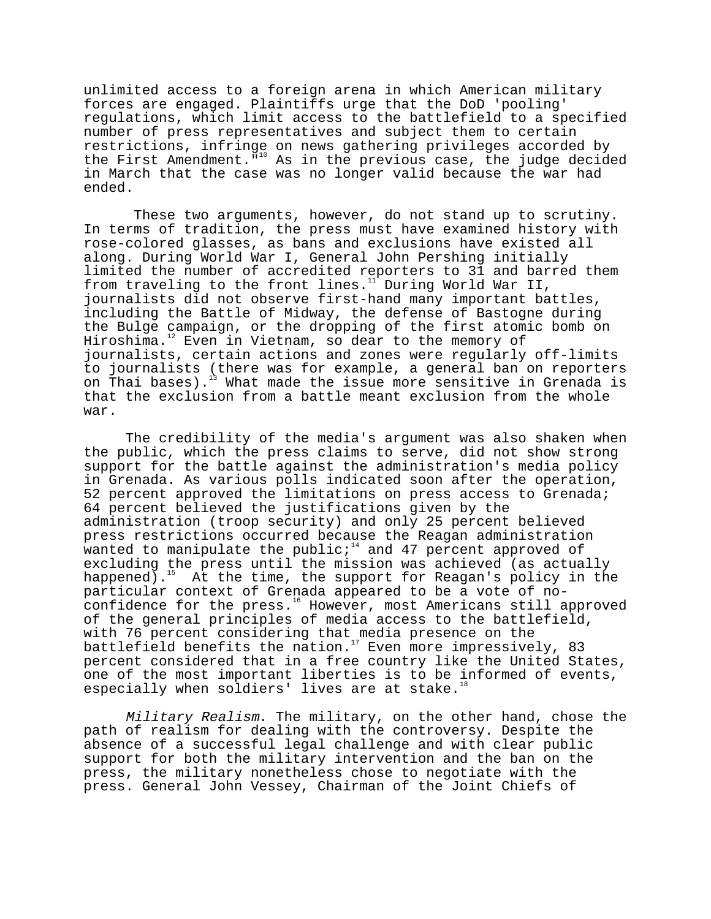unlimited access to a foreign arena in which American military forces are engaged. Plaintiffs urge that the DoD 'pooling' regulations, which limit access to the battlefield to a specified number of press representatives and subject them to certain restrictions, infringe on news gathering privileges accorded by the First Amendment."10 As in the previous case, the judge decided in March that the case was no longer valid because the war had ended.

 These two arguments, however, do not stand up to scrutiny. In terms of tradition, the press must have examined history with rose-colored glasses, as bans and exclusions have existed all along. During World War I, General John Pershing initially limited the number of accredited reporters to 31 and barred them from traveling to the front lines.<sup>11</sup> During World War II, journalists did not observe first-hand many important battles, including the Battle of Midway, the defense of Bastogne during the Bulge campaign, or the dropping of the first atomic bomb on Hiroshima. $12$  Even in Vietnam, so dear to the memory of journalists, certain actions and zones were regularly off-limits to journalists (there was for example, a general ban on reporters on Thai bases).<sup>13</sup> What made the issue more sensitive in Grenada is that the exclusion from a battle meant exclusion from the whole war.

The credibility of the media's argument was also shaken when the public, which the press claims to serve, did not show strong support for the battle against the administration's media policy in Grenada. As various polls indicated soon after the operation, 52 percent approved the limitations on press access to Grenada; 64 percent believed the justifications given by the administration (troop security) and only 25 percent believed press restrictions occurred because the Reagan administration wanted to manipulate the public; $14$  and 47 percent approved of excluding the press until the mission was achieved (as actually happened).<sup>15</sup> At the time, the support for Reagan's policy in the particular context of Grenada appeared to be a vote of noconfidence for the press.<sup>16</sup> However, most Americans still approved of the general principles of media access to the battlefield, with 76 percent considering that media presence on the battlefield benefits the nation.<sup>17</sup> Even more impressively, 83 percent considered that in a free country like the United States, one of the most important liberties is to be informed of events, especially when soldiers' lives are at stake.<sup>1</sup>

Military Realism. The military, on the other hand, chose the path of realism for dealing with the controversy. Despite the absence of a successful legal challenge and with clear public support for both the military intervention and the ban on the press, the military nonetheless chose to negotiate with the press. General John Vessey, Chairman of the Joint Chiefs of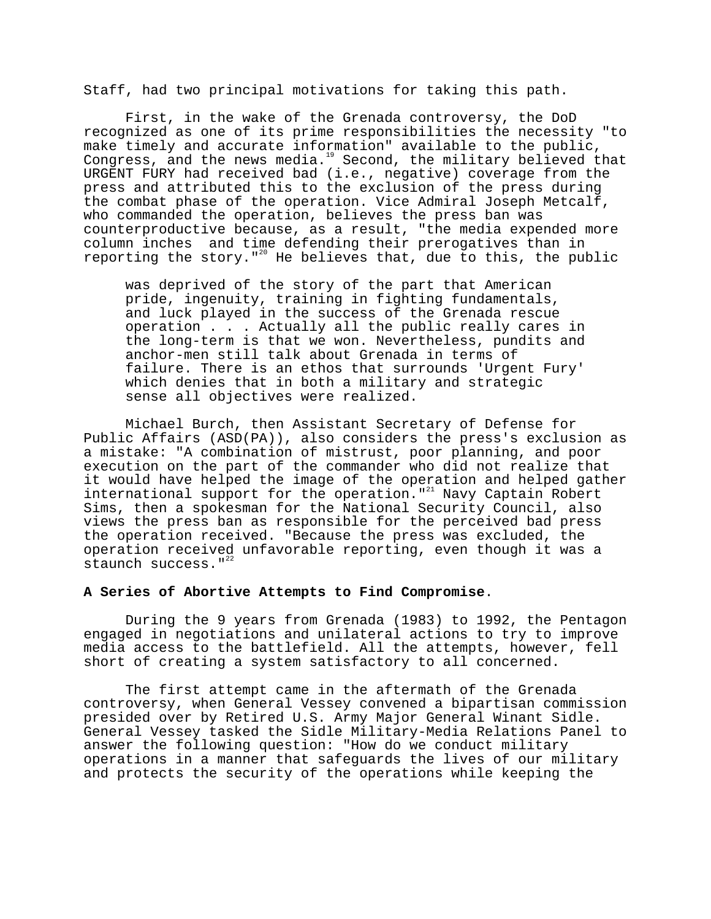Staff, had two principal motivations for taking this path.

First, in the wake of the Grenada controversy, the DoD recognized as one of its prime responsibilities the necessity "to make timely and accurate information" available to the public, Congress, and the news media.<sup>19</sup> Second, the military believed that URGENT FURY had received bad (i.e., negative) coverage from the press and attributed this to the exclusion of the press during the combat phase of the operation. Vice Admiral Joseph Metcalf, who commanded the operation, believes the press ban was counterproductive because, as a result, "the media expended more column inches and time defending their prerogatives than in reporting the story."<sup>20</sup> He believes that, due to this, the public

was deprived of the story of the part that American pride, ingenuity, training in fighting fundamentals, and luck played in the success of the Grenada rescue operation . . . Actually all the public really cares in the long-term is that we won. Nevertheless, pundits and anchor-men still talk about Grenada in terms of failure. There is an ethos that surrounds 'Urgent Fury' which denies that in both a military and strategic sense all objectives were realized.

Michael Burch, then Assistant Secretary of Defense for Public Affairs (ASD(PA)), also considers the press's exclusion as a mistake: "A combination of mistrust, poor planning, and poor execution on the part of the commander who did not realize that it would have helped the image of the operation and helped gather international support for the operation."<sup>21</sup> Navy Captain Robert Sims, then a spokesman for the National Security Council, also views the press ban as responsible for the perceived bad press the operation received. "Because the press was excluded, the operation received unfavorable reporting, even though it was a staunch success."<sup>22</sup>

# **A Series of Abortive Attempts to Find Compromise**.

During the 9 years from Grenada (1983) to 1992, the Pentagon engaged in negotiations and unilateral actions to try to improve media access to the battlefield. All the attempts, however, fell short of creating a system satisfactory to all concerned.

The first attempt came in the aftermath of the Grenada controversy, when General Vessey convened a bipartisan commission presided over by Retired U.S. Army Major General Winant Sidle. General Vessey tasked the Sidle Military-Media Relations Panel to answer the following question: "How do we conduct military operations in a manner that safeguards the lives of our military and protects the security of the operations while keeping the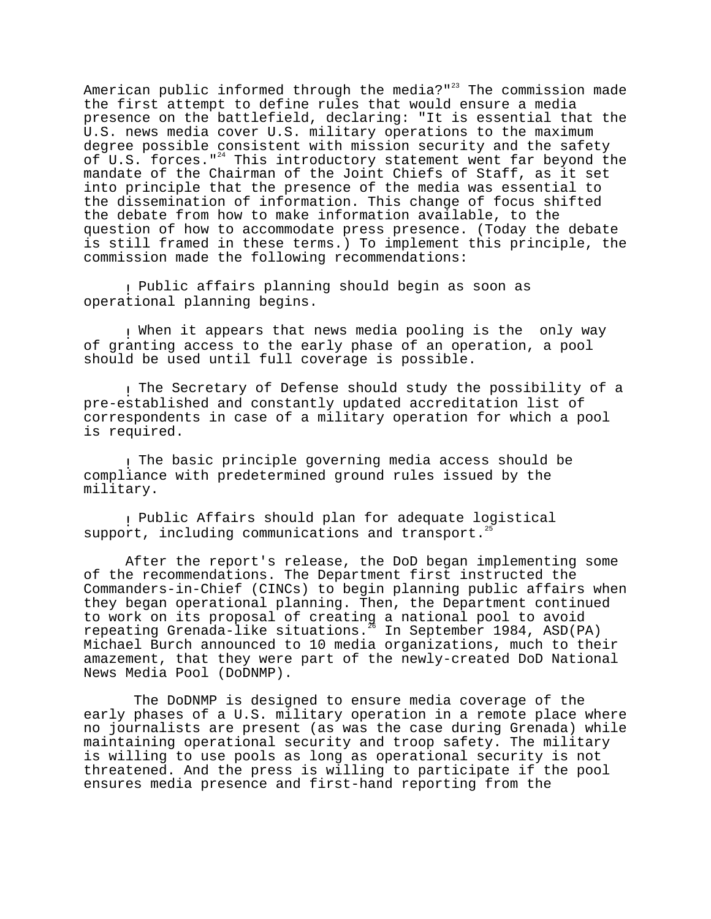American public informed through the media?"<sup>23</sup> The commission made the first attempt to define rules that would ensure a media presence on the battlefield, declaring: "It is essential that the U.S. news media cover U.S. military operations to the maximum degree possible consistent with mission security and the safety of U.S. forces." $^{24}$  This introductory statement went far beyond the mandate of the Chairman of the Joint Chiefs of Staff, as it set into principle that the presence of the media was essential to the dissemination of information. This change of focus shifted the debate from how to make information available, to the question of how to accommodate press presence. (Today the debate is still framed in these terms.) To implement this principle, the commission made the following recommendations:

! Public affairs planning should begin as soon as operational planning begins.

! When it appears that news media pooling is the only way of granting access to the early phase of an operation, a pool should be used until full coverage is possible.

! The Secretary of Defense should study the possibility of a pre-established and constantly updated accreditation list of correspondents in case of a military operation for which a pool is required.

! The basic principle governing media access should be compliance with predetermined ground rules issued by the military.

! Public Affairs should plan for adequate logistical support, including communications and transport.<sup>25</sup>

After the report's release, the DoD began implementing some of the recommendations. The Department first instructed the Commanders-in-Chief (CINCs) to begin planning public affairs when they began operational planning. Then, the Department continued to work on its proposal of creating a national pool to avoid repeating Grenada-like situations.26 In September 1984, ASD(PA) Michael Burch announced to 10 media organizations, much to their amazement, that they were part of the newly-created DoD National News Media Pool (DoDNMP).

 The DoDNMP is designed to ensure media coverage of the early phases of a U.S. military operation in a remote place where no journalists are present (as was the case during Grenada) while maintaining operational security and troop safety. The military is willing to use pools as long as operational security is not threatened. And the press is willing to participate if the pool ensures media presence and first-hand reporting from the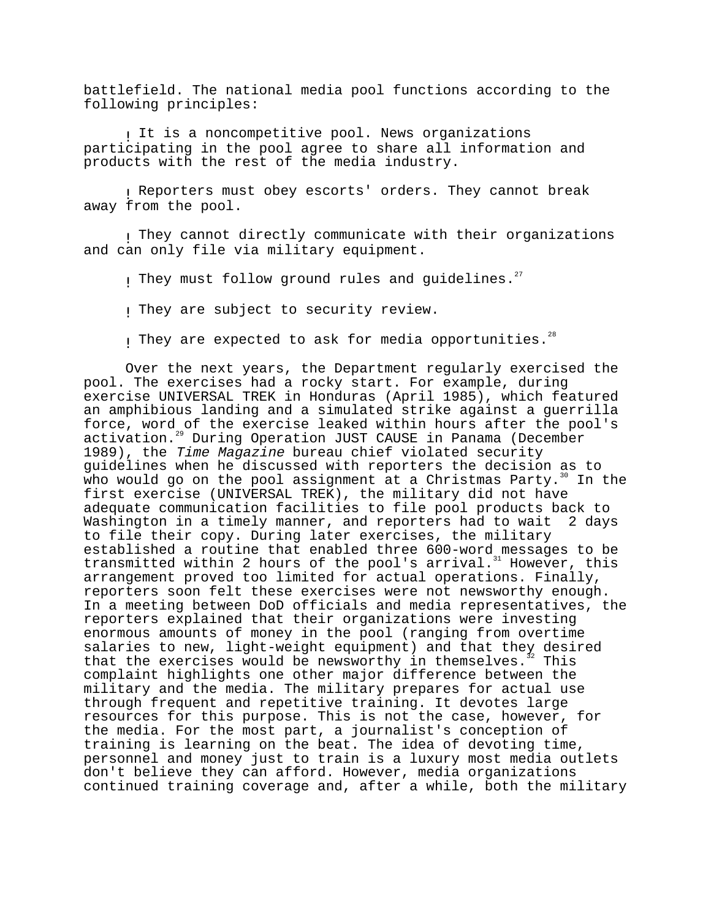battlefield. The national media pool functions according to the following principles:

It is a noncompetitive pool. News organizations participating in the pool agree to share all information and products with the rest of the media industry.

! Reporters must obey escorts' orders. They cannot break away from the pool.

! They cannot directly communicate with their organizations and can only file via military equipment.

I They must follow ground rules and quidelines.<sup>27</sup>

! They are subject to security review.

I They are expected to ask for media opportunities.<sup>28</sup>

Over the next years, the Department regularly exercised the pool. The exercises had a rocky start. For example, during exercise UNIVERSAL TREK in Honduras (April 1985), which featured an amphibious landing and a simulated strike against a guerrilla force, word of the exercise leaked within hours after the pool's activation.<sup>29</sup> During Operation JUST CAUSE in Panama (December 1989), the Time Magazine bureau chief violated security guidelines when he discussed with reporters the decision as to who would go on the pool assignment at a Christmas Party.<sup>30</sup> In the first exercise (UNIVERSAL TREK), the military did not have adequate communication facilities to file pool products back to Washington in a timely manner, and reporters had to wait 2 days to file their copy. During later exercises, the military established a routine that enabled three 600-word messages to be transmitted within 2 hours of the pool's arrival.<sup>31</sup> However, this arrangement proved too limited for actual operations. Finally, reporters soon felt these exercises were not newsworthy enough. In a meeting between DoD officials and media representatives, the reporters explained that their organizations were investing enormous amounts of money in the pool (ranging from overtime salaries to new, light-weight equipment) and that they desired<br>that the exercises would be newsworthy in themselves.<sup>3</sup> This that the exercises would be newsworthy in themselves.<sup>3</sup> complaint highlights one other major difference between the military and the media. The military prepares for actual use through frequent and repetitive training. It devotes large resources for this purpose. This is not the case, however, for the media. For the most part, a journalist's conception of training is learning on the beat. The idea of devoting time, personnel and money just to train is a luxury most media outlets don't believe they can afford. However, media organizations continued training coverage and, after a while, both the military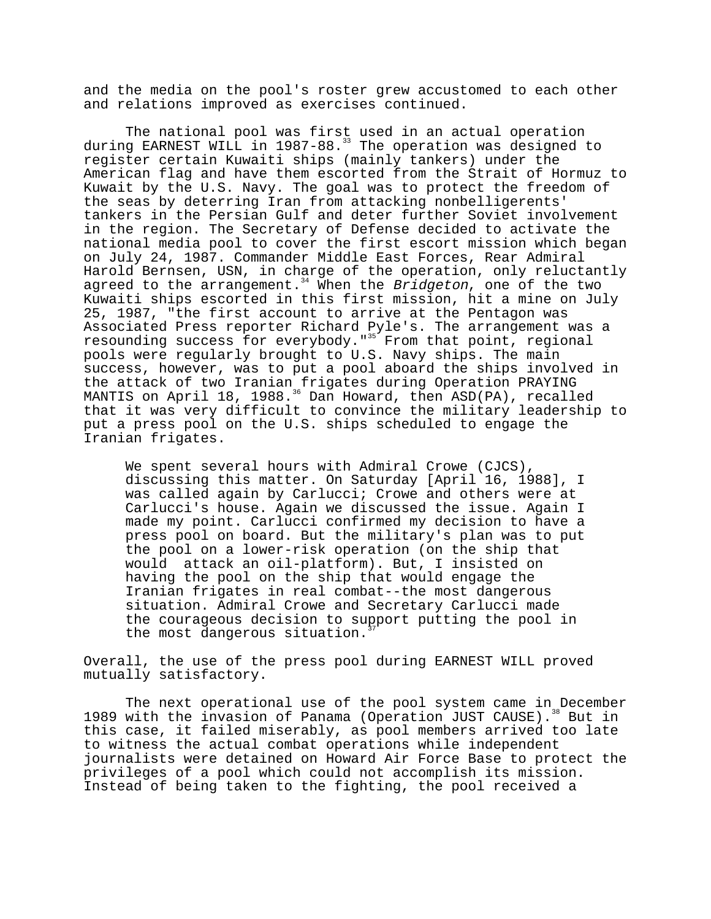and the media on the pool's roster grew accustomed to each other and relations improved as exercises continued.

The national pool was first used in an actual operation during EARNEST WILL in 1987-88.<sup>33</sup> The operation was designed to register certain Kuwaiti ships (mainly tankers) under the American flag and have them escorted from the Strait of Hormuz to Kuwait by the U.S. Navy. The goal was to protect the freedom of the seas by deterring Iran from attacking nonbelligerents' tankers in the Persian Gulf and deter further Soviet involvement in the region. The Secretary of Defense decided to activate the national media pool to cover the first escort mission which began on July 24, 1987. Commander Middle East Forces, Rear Admiral Harold Bernsen, USN, in charge of the operation, only reluctantly agreed to the arrangement.<sup>34</sup> When the Bridgeton, one of the two Kuwaiti ships escorted in this first mission, hit a mine on July 25, 1987, "the first account to arrive at the Pentagon was Associated Press reporter Richard Pyle's. The arrangement was a resounding success for everybody."<sup>35</sup> From that point, regional pools were regularly brought to U.S. Navy ships. The main success, however, was to put a pool aboard the ships involved in the attack of two Iranian frigates during Operation PRAYING MANTIS on April 18, 1988.<sup>36</sup> Dan Howard, then ASD(PA), recalled that it was very difficult to convince the military leadership to put a press pool on the U.S. ships scheduled to engage the Iranian frigates.

We spent several hours with Admiral Crowe (CJCS), discussing this matter. On Saturday [April 16, 1988], I was called again by Carlucci; Crowe and others were at Carlucci's house. Again we discussed the issue. Again I made my point. Carlucci confirmed my decision to have a press pool on board. But the military's plan was to put the pool on a lower-risk operation (on the ship that would attack an oil-platform). But, I insisted on having the pool on the ship that would engage the Iranian frigates in real combat--the most dangerous situation. Admiral Crowe and Secretary Carlucci made the courageous decision to support putting the pool in the most dangerous situation.

Overall, the use of the press pool during EARNEST WILL proved mutually satisfactory.

The next operational use of the pool system came in December 1989 with the invasion of Panama (Operation JUST CAUSE).<sup>38</sup> But in this case, it failed miserably, as pool members arrived too late to witness the actual combat operations while independent journalists were detained on Howard Air Force Base to protect the privileges of a pool which could not accomplish its mission. Instead of being taken to the fighting, the pool received a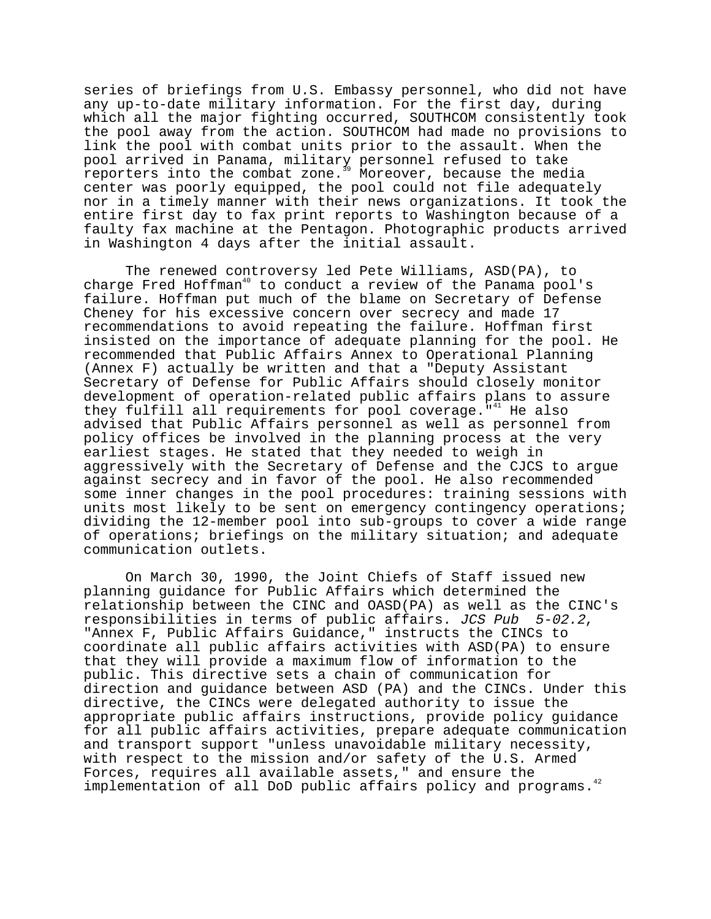series of briefings from U.S. Embassy personnel, who did not have any up-to-date military information. For the first day, during which all the major fighting occurred, SOUTHCOM consistently took the pool away from the action. SOUTHCOM had made no provisions to link the pool with combat units prior to the assault. When the pool arrived in Panama, military personnel refused to take reporters into the combat zone.<sup>39</sup> Moreover, because the media center was poorly equipped, the pool could not file adequately nor in a timely manner with their news organizations. It took the entire first day to fax print reports to Washington because of a faulty fax machine at the Pentagon. Photographic products arrived in Washington 4 days after the initial assault.

The renewed controversy led Pete Williams, ASD(PA), to charge Fred Hoffman<sup>40</sup> to conduct a review of the Panama pool's failure. Hoffman put much of the blame on Secretary of Defense Cheney for his excessive concern over secrecy and made 17 recommendations to avoid repeating the failure. Hoffman first insisted on the importance of adequate planning for the pool. He recommended that Public Affairs Annex to Operational Planning (Annex F) actually be written and that a "Deputy Assistant Secretary of Defense for Public Affairs should closely monitor development of operation-related public affairs plans to assure they fulfill all requirements for pool coverage.<sup>"41</sup> He also advised that Public Affairs personnel as well as personnel from policy offices be involved in the planning process at the very earliest stages. He stated that they needed to weigh in aggressively with the Secretary of Defense and the CJCS to argue against secrecy and in favor of the pool. He also recommended some inner changes in the pool procedures: training sessions with units most likely to be sent on emergency contingency operations; dividing the 12-member pool into sub-groups to cover a wide range of operations; briefings on the military situation; and adequate communication outlets.

On March 30, 1990, the Joint Chiefs of Staff issued new planning guidance for Public Affairs which determined the relationship between the CINC and OASD(PA) as well as the CINC's responsibilities in terms of public affairs. JCS Pub 5-02.2, "Annex F, Public Affairs Guidance," instructs the CINCs to coordinate all public affairs activities with ASD(PA) to ensure that they will provide a maximum flow of information to the public. This directive sets a chain of communication for direction and guidance between ASD (PA) and the CINCs. Under this directive, the CINCs were delegated authority to issue the appropriate public affairs instructions, provide policy guidance for all public affairs activities, prepare adequate communication and transport support "unless unavoidable military necessity, with respect to the mission and/or safety of the U.S. Armed Forces, requires all available assets," and ensure the implementation of all DoD public affairs policy and programs.<sup>42</sup>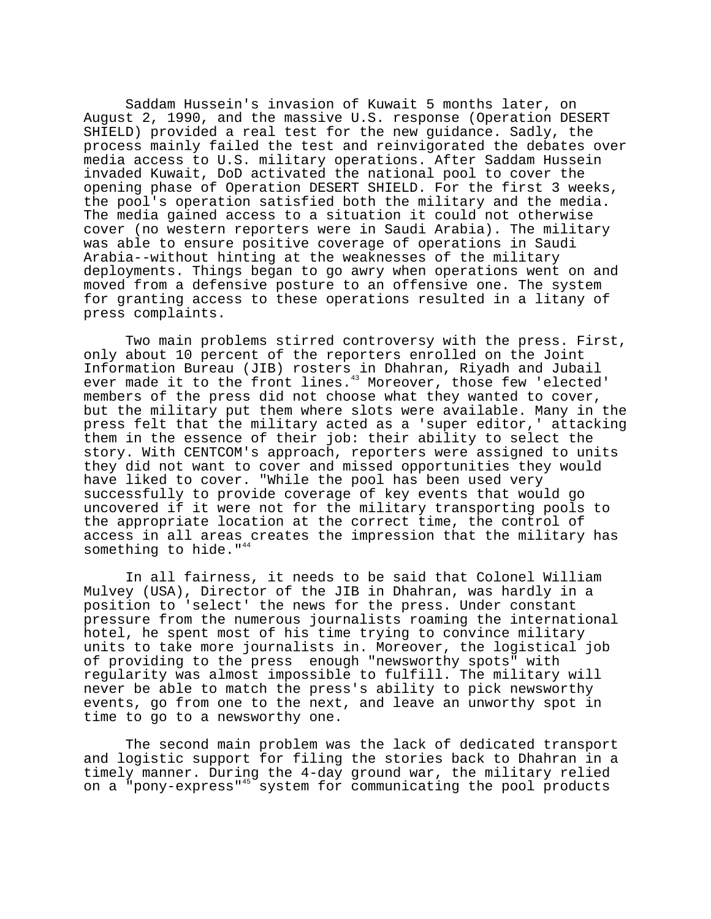Saddam Hussein's invasion of Kuwait 5 months later, on August 2, 1990, and the massive U.S. response (Operation DESERT SHIELD) provided a real test for the new guidance. Sadly, the process mainly failed the test and reinvigorated the debates over media access to U.S. military operations. After Saddam Hussein invaded Kuwait, DoD activated the national pool to cover the opening phase of Operation DESERT SHIELD. For the first 3 weeks, the pool's operation satisfied both the military and the media. The media gained access to a situation it could not otherwise cover (no western reporters were in Saudi Arabia). The military was able to ensure positive coverage of operations in Saudi Arabia--without hinting at the weaknesses of the military deployments. Things began to go awry when operations went on and moved from a defensive posture to an offensive one. The system for granting access to these operations resulted in a litany of press complaints.

Two main problems stirred controversy with the press. First, only about 10 percent of the reporters enrolled on the Joint Information Bureau (JIB) rosters in Dhahran, Riyadh and Jubail ever made it to the front lines.<sup>43</sup> Moreover, those few 'elected' members of the press did not choose what they wanted to cover, but the military put them where slots were available. Many in the press felt that the military acted as a 'super editor,' attacking them in the essence of their job: their ability to select the story. With CENTCOM's approach, reporters were assigned to units they did not want to cover and missed opportunities they would have liked to cover. "While the pool has been used very successfully to provide coverage of key events that would go uncovered if it were not for the military transporting pools to the appropriate location at the correct time, the control of access in all areas creates the impression that the military has something to hide." $4$ 

In all fairness, it needs to be said that Colonel William Mulvey (USA), Director of the JIB in Dhahran, was hardly in a position to 'select' the news for the press. Under constant pressure from the numerous journalists roaming the international hotel, he spent most of his time trying to convince military units to take more journalists in. Moreover, the logistical job of providing to the press enough "newsworthy spots" with regularity was almost impossible to fulfill. The military will never be able to match the press's ability to pick newsworthy events, go from one to the next, and leave an unworthy spot in time to go to a newsworthy one.

The second main problem was the lack of dedicated transport and logistic support for filing the stories back to Dhahran in a timely manner. During the 4-day ground war, the military relied on a "pony-express"45 system for communicating the pool products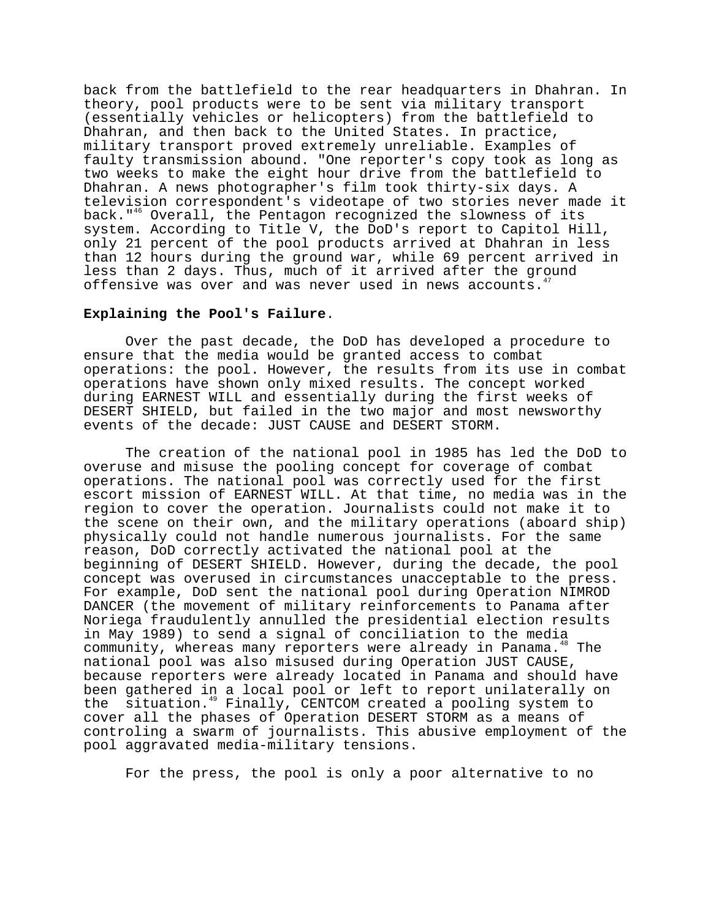back from the battlefield to the rear headquarters in Dhahran. In theory, pool products were to be sent via military transport (essentially vehicles or helicopters) from the battlefield to Dhahran, and then back to the United States. In practice, military transport proved extremely unreliable. Examples of faulty transmission abound. "One reporter's copy took as long as two weeks to make the eight hour drive from the battlefield to Dhahran. A news photographer's film took thirty-six days. A television correspondent's videotape of two stories never made it back."<sup>46</sup> Overall, the Pentagon recognized the slowness of its system. According to Title V, the DoD's report to Capitol Hill, only 21 percent of the pool products arrived at Dhahran in less than 12 hours during the ground war, while 69 percent arrived in less than 2 days. Thus, much of it arrived after the ground offensive was over and was never used in news accounts.<sup>4</sup>

### **Explaining the Pool's Failure**.

Over the past decade, the DoD has developed a procedure to ensure that the media would be granted access to combat operations: the pool. However, the results from its use in combat operations have shown only mixed results. The concept worked during EARNEST WILL and essentially during the first weeks of DESERT SHIELD, but failed in the two major and most newsworthy events of the decade: JUST CAUSE and DESERT STORM.

The creation of the national pool in 1985 has led the DoD to overuse and misuse the pooling concept for coverage of combat operations. The national pool was correctly used for the first escort mission of EARNEST WILL. At that time, no media was in the region to cover the operation. Journalists could not make it to the scene on their own, and the military operations (aboard ship) physically could not handle numerous journalists. For the same reason, DoD correctly activated the national pool at the beginning of DESERT SHIELD. However, during the decade, the pool concept was overused in circumstances unacceptable to the press. For example, DoD sent the national pool during Operation NIMROD DANCER (the movement of military reinforcements to Panama after Noriega fraudulently annulled the presidential election results in May 1989) to send a signal of conciliation to the media community, whereas many reporters were already in Panama.<sup>48</sup> The national pool was also misused during Operation JUST CAUSE, because reporters were already located in Panama and should have been gathered in a local pool or left to report unilaterally on the situation.<sup>49</sup> Finally, CENTCOM created a pooling system to cover all the phases of Operation DESERT STORM as a means of controling a swarm of journalists. This abusive employment of the pool aggravated media-military tensions.

For the press, the pool is only a poor alternative to no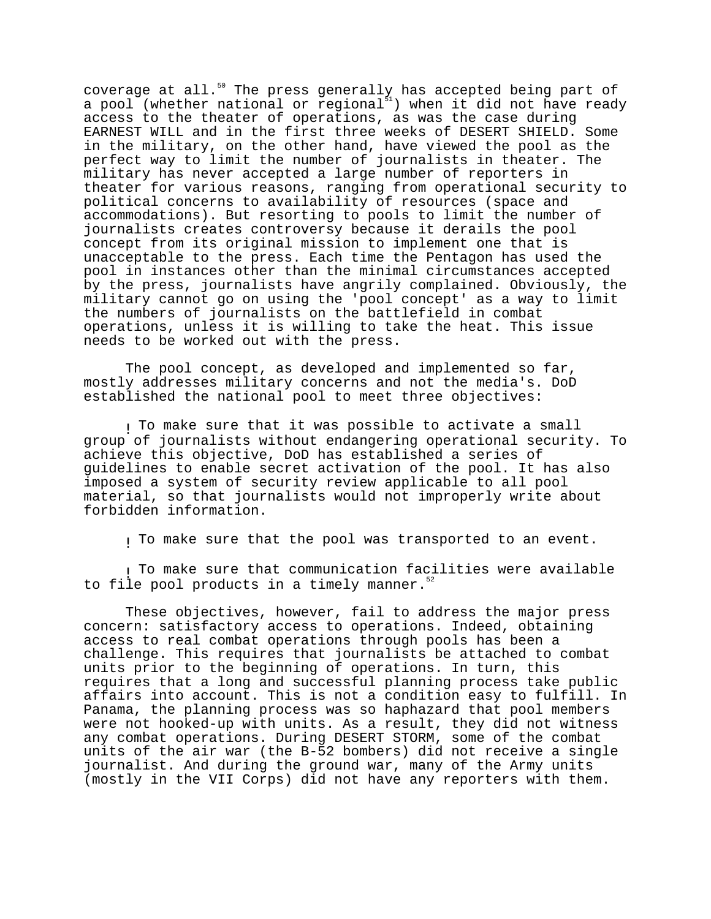coverage at all. $^{50}$  The press generally has accepted being part of a pool (whether national or regional $^{51}$ ) when it did not have ready access to the theater of operations, as was the case during EARNEST WILL and in the first three weeks of DESERT SHIELD. Some in the military, on the other hand, have viewed the pool as the perfect way to limit the number of journalists in theater. The military has never accepted a large number of reporters in theater for various reasons, ranging from operational security to political concerns to availability of resources (space and accommodations). But resorting to pools to limit the number of journalists creates controversy because it derails the pool concept from its original mission to implement one that is unacceptable to the press. Each time the Pentagon has used the pool in instances other than the minimal circumstances accepted by the press, journalists have angrily complained. Obviously, the military cannot go on using the 'pool concept' as a way to limit the numbers of journalists on the battlefield in combat operations, unless it is willing to take the heat. This issue needs to be worked out with the press.

The pool concept, as developed and implemented so far, mostly addresses military concerns and not the media's. DoD established the national pool to meet three objectives:

! To make sure that it was possible to activate a small group of journalists without endangering operational security. To achieve this objective, DoD has established a series of guidelines to enable secret activation of the pool. It has also imposed a system of security review applicable to all pool material, so that journalists would not improperly write about forbidden information.

! To make sure that the pool was transported to an event.

! To make sure that communication facilities were available to file pool products in a timely manner. $52$ 

These objectives, however, fail to address the major press concern: satisfactory access to operations. Indeed, obtaining access to real combat operations through pools has been a challenge. This requires that journalists be attached to combat units prior to the beginning of operations. In turn, this requires that a long and successful planning process take public affairs into account. This is not a condition easy to fulfill. In Panama, the planning process was so haphazard that pool members were not hooked-up with units. As a result, they did not witness any combat operations. During DESERT STORM, some of the combat units of the air war (the B-52 bombers) did not receive a single journalist. And during the ground war, many of the Army units (mostly in the VII Corps) did not have any reporters with them.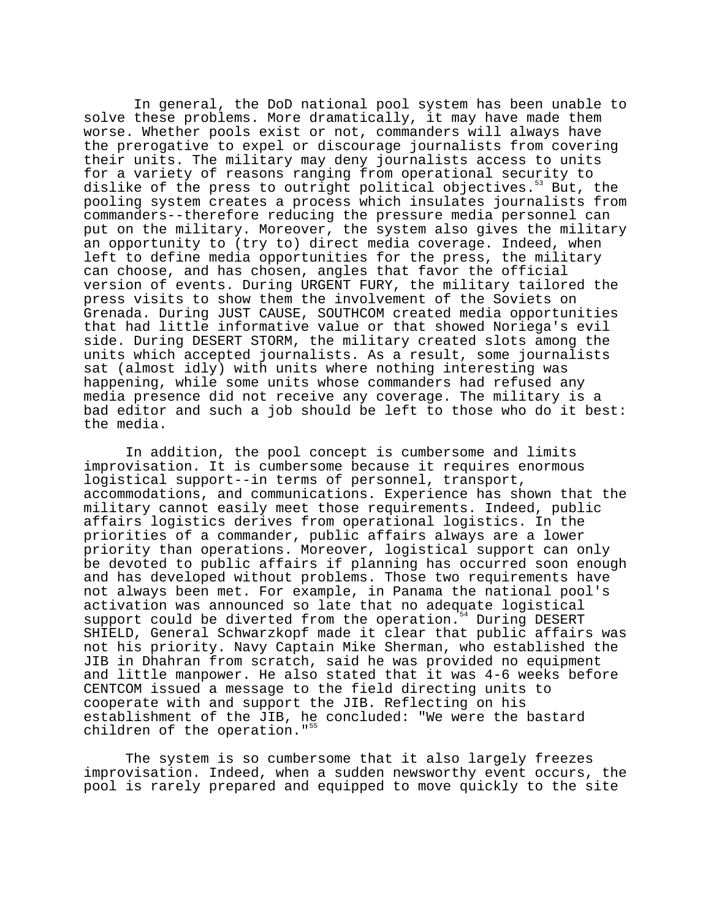In general, the DoD national pool system has been unable to solve these problems. More dramatically, it may have made them worse. Whether pools exist or not, commanders will always have the prerogative to expel or discourage journalists from covering their units. The military may deny journalists access to units for a variety of reasons ranging from operational security to dislike of the press to outright political objectives.<sup>53</sup> But, the pooling system creates a process which insulates journalists from commanders--therefore reducing the pressure media personnel can put on the military. Moreover, the system also gives the military an opportunity to (try to) direct media coverage. Indeed, when left to define media opportunities for the press, the military can choose, and has chosen, angles that favor the official version of events. During URGENT FURY, the military tailored the press visits to show them the involvement of the Soviets on Grenada. During JUST CAUSE, SOUTHCOM created media opportunities that had little informative value or that showed Noriega's evil side. During DESERT STORM, the military created slots among the units which accepted journalists. As a result, some journalists sat (almost idly) with units where nothing interesting was happening, while some units whose commanders had refused any media presence did not receive any coverage. The military is a bad editor and such a job should be left to those who do it best: the media.

In addition, the pool concept is cumbersome and limits improvisation. It is cumbersome because it requires enormous logistical support--in terms of personnel, transport, accommodations, and communications. Experience has shown that the military cannot easily meet those requirements. Indeed, public affairs logistics derives from operational logistics. In the priorities of a commander, public affairs always are a lower priority than operations. Moreover, logistical support can only be devoted to public affairs if planning has occurred soon enough and has developed without problems. Those two requirements have not always been met. For example, in Panama the national pool's activation was announced so late that no adequate logistical support could be diverted from the operation.<sup>54</sup> During DESERT SHIELD, General Schwarzkopf made it clear that public affairs was not his priority. Navy Captain Mike Sherman, who established the JIB in Dhahran from scratch, said he was provided no equipment and little manpower. He also stated that it was 4-6 weeks before CENTCOM issued a message to the field directing units to cooperate with and support the JIB. Reflecting on his establishment of the JIB, he concluded: "We were the bastard children of the operation."<sup>5</sup>

The system is so cumbersome that it also largely freezes improvisation. Indeed, when a sudden newsworthy event occurs, the pool is rarely prepared and equipped to move quickly to the site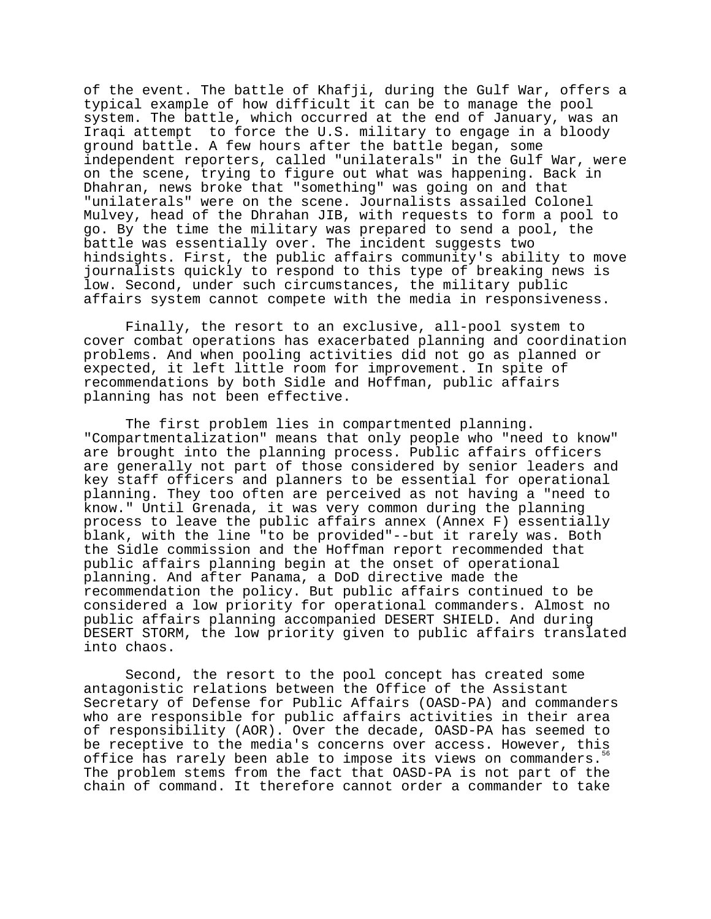of the event. The battle of Khafji, during the Gulf War, offers a typical example of how difficult it can be to manage the pool system. The battle, which occurred at the end of January, was an Iraqi attempt to force the U.S. military to engage in a bloody ground battle. A few hours after the battle began, some independent reporters, called "unilaterals" in the Gulf War, were on the scene, trying to figure out what was happening. Back in Dhahran, news broke that "something" was going on and that "unilaterals" were on the scene. Journalists assailed Colonel Mulvey, head of the Dhrahan JIB, with requests to form a pool to go. By the time the military was prepared to send a pool, the battle was essentially over. The incident suggests two hindsights. First, the public affairs community's ability to move journalists quickly to respond to this type of breaking news is low. Second, under such circumstances, the military public affairs system cannot compete with the media in responsiveness.

Finally, the resort to an exclusive, all-pool system to cover combat operations has exacerbated planning and coordination problems. And when pooling activities did not go as planned or expected, it left little room for improvement. In spite of recommendations by both Sidle and Hoffman, public affairs planning has not been effective.

The first problem lies in compartmented planning. "Compartmentalization" means that only people who "need to know" are brought into the planning process. Public affairs officers are generally not part of those considered by senior leaders and key staff officers and planners to be essential for operational planning. They too often are perceived as not having a "need to know." Until Grenada, it was very common during the planning process to leave the public affairs annex (Annex F) essentially blank, with the line "to be provided"--but it rarely was. Both the Sidle commission and the Hoffman report recommended that public affairs planning begin at the onset of operational planning. And after Panama, a DoD directive made the recommendation the policy. But public affairs continued to be considered a low priority for operational commanders. Almost no public affairs planning accompanied DESERT SHIELD. And during DESERT STORM, the low priority given to public affairs translated into chaos.

Second, the resort to the pool concept has created some antagonistic relations between the Office of the Assistant Secretary of Defense for Public Affairs (OASD-PA) and commanders who are responsible for public affairs activities in their area of responsibility (AOR). Over the decade, OASD-PA has seemed to be receptive to the media's concerns over access. However, this office has rarely been able to impose its views on commanders.<sup>56</sup> The problem stems from the fact that OASD-PA is not part of the chain of command. It therefore cannot order a commander to take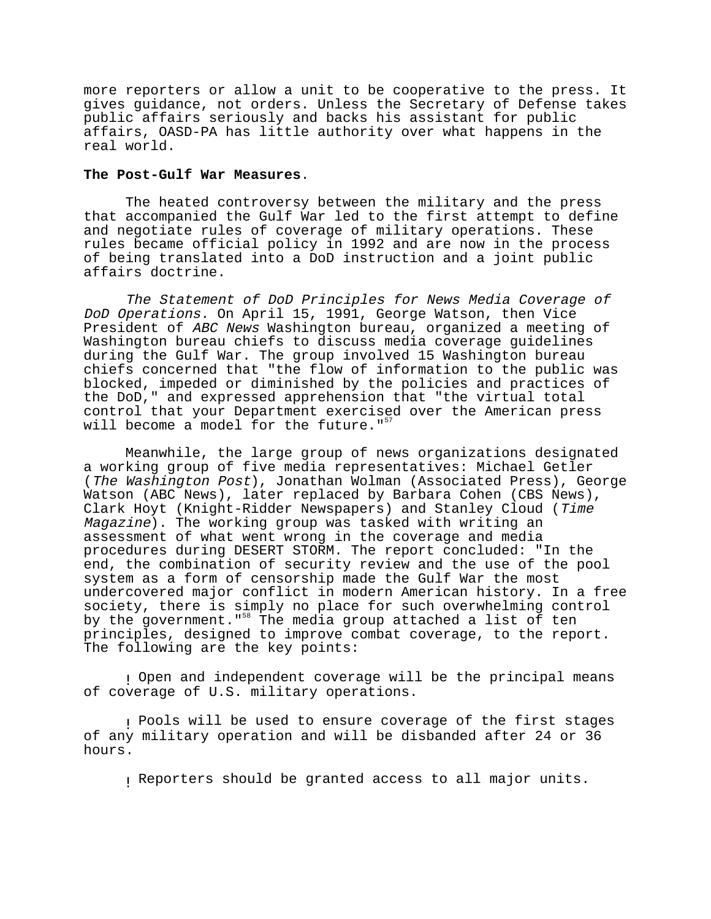more reporters or allow a unit to be cooperative to the press. It gives guidance, not orders. Unless the Secretary of Defense takes public affairs seriously and backs his assistant for public affairs, OASD-PA has little authority over what happens in the real world.

## **The Post-Gulf War Measures**.

The heated controversy between the military and the press that accompanied the Gulf War led to the first attempt to define and negotiate rules of coverage of military operations. These rules became official policy in 1992 and are now in the process of being translated into a DoD instruction and a joint public affairs doctrine.

The Statement of DoD Principles for News Media Coverage of DoD Operations. On April 15, 1991, George Watson, then Vice President of ABC News Washington bureau, organized a meeting of Washington bureau chiefs to discuss media coverage guidelines during the Gulf War. The group involved 15 Washington bureau chiefs concerned that "the flow of information to the public was blocked, impeded or diminished by the policies and practices of the DoD," and expressed apprehension that "the virtual total control that your Department exercised over the American press will become a model for the future."<sup>5</sup>

Meanwhile, the large group of news organizations designated a working group of five media representatives: Michael Getler (The Washington Post), Jonathan Wolman (Associated Press), George Watson (ABC News), later replaced by Barbara Cohen (CBS News), Clark Hoyt (Knight-Ridder Newspapers) and Stanley Cloud (Time Magazine). The working group was tasked with writing an assessment of what went wrong in the coverage and media procedures during DESERT STORM. The report concluded: "In the end, the combination of security review and the use of the pool system as a form of censorship made the Gulf War the most undercovered major conflict in modern American history. In a free society, there is simply no place for such overwhelming control by the government."<sup>58</sup> The media group attached a list of ten principles, designed to improve combat coverage, to the report. The following are the key points:

! Open and independent coverage will be the principal means of coverage of U.S. military operations.

! Pools will be used to ensure coverage of the first stages of any military operation and will be disbanded after 24 or 36 hours.

! Reporters should be granted access to all major units.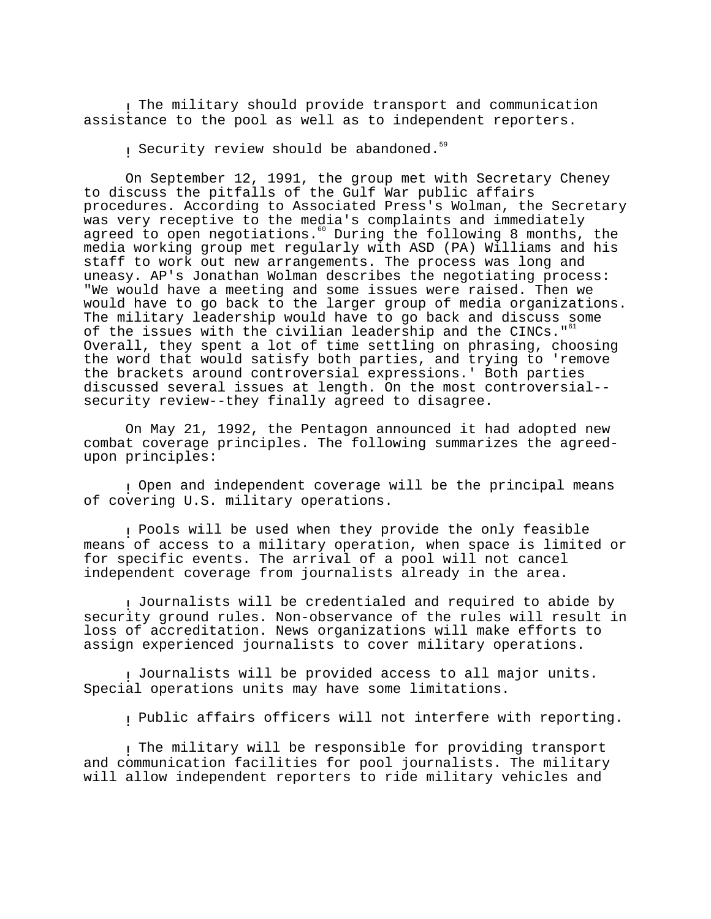! The military should provide transport and communication assistance to the pool as well as to independent reporters.

! Security review should be abandoned.59

On September 12, 1991, the group met with Secretary Cheney to discuss the pitfalls of the Gulf War public affairs procedures. According to Associated Press's Wolman, the Secretary was very receptive to the media's complaints and immediately agreed to open negotiations.  $\degree$  During the following 8 months, the media working group met regularly with ASD (PA) Williams and his staff to work out new arrangements. The process was long and uneasy. AP's Jonathan Wolman describes the negotiating process: "We would have a meeting and some issues were raised. Then we would have to go back to the larger group of media organizations. The military leadership would have to go back and discuss some of the issues with the civilian leadership and the CINCs."<sup>61</sup> Overall, they spent a lot of time settling on phrasing, choosing the word that would satisfy both parties, and trying to 'remove the brackets around controversial expressions.' Both parties discussed several issues at length. On the most controversial- security review--they finally agreed to disagree.

On May 21, 1992, the Pentagon announced it had adopted new combat coverage principles. The following summarizes the agreedupon principles:

! Open and independent coverage will be the principal means of covering U.S. military operations.

! Pools will be used when they provide the only feasible means of access to a military operation, when space is limited or for specific events. The arrival of a pool will not cancel independent coverage from journalists already in the area.

! Journalists will be credentialed and required to abide by security ground rules. Non-observance of the rules will result in loss of accreditation. News organizations will make efforts to assign experienced journalists to cover military operations.

! Journalists will be provided access to all major units. Special operations units may have some limitations.

! Public affairs officers will not interfere with reporting.

! The military will be responsible for providing transport and communication facilities for pool journalists. The military will allow independent reporters to ride military vehicles and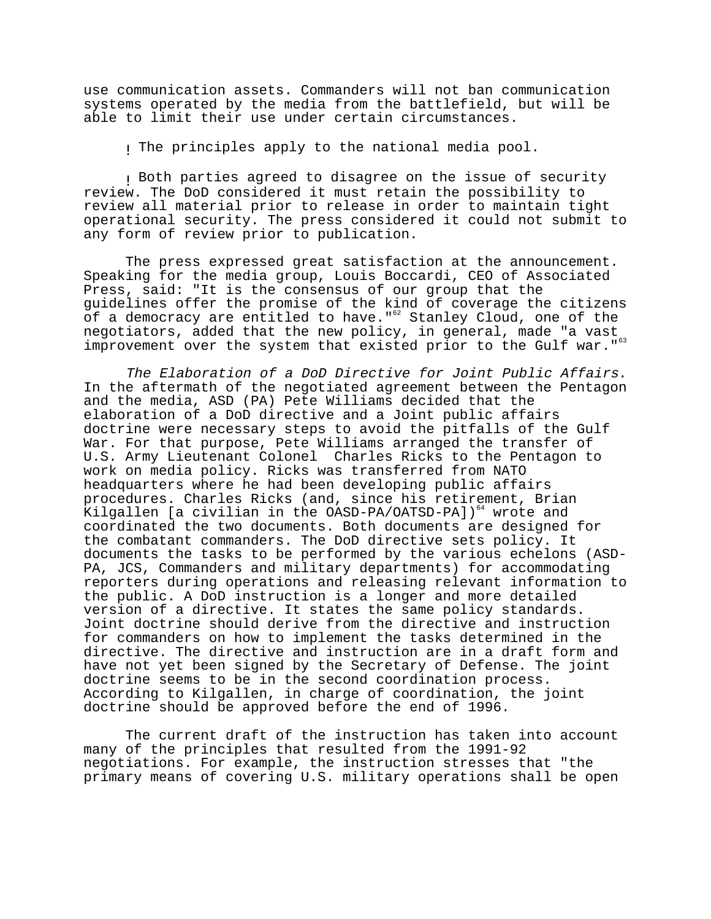use communication assets. Commanders will not ban communication systems operated by the media from the battlefield, but will be able to limit their use under certain circumstances.

I The principles apply to the national media pool.

! Both parties agreed to disagree on the issue of security review. The DoD considered it must retain the possibility to review all material prior to release in order to maintain tight operational security. The press considered it could not submit to any form of review prior to publication.

The press expressed great satisfaction at the announcement. Speaking for the media group, Louis Boccardi, CEO of Associated Press, said: "It is the consensus of our group that the guidelines offer the promise of the kind of coverage the citizens of a democracy are entitled to have."<sup>62</sup> Stanley Cloud, one of the negotiators, added that the new policy, in general, made "a vast improvement over the system that existed prior to the Gulf war."<sup>63</sup>

The Elaboration of a DoD Directive for Joint Public Affairs. In the aftermath of the negotiated agreement between the Pentagon and the media, ASD (PA) Pete Williams decided that the elaboration of a DoD directive and a Joint public affairs doctrine were necessary steps to avoid the pitfalls of the Gulf War. For that purpose, Pete Williams arranged the transfer of U.S. Army Lieutenant Colonel Charles Ricks to the Pentagon to work on media policy. Ricks was transferred from NATO headquarters where he had been developing public affairs procedures. Charles Ricks (and, since his retirement, Brian Kilgallen [a civilian in the  $OASD-PA/OATSD-PA$ ])<sup>64</sup> wrote and coordinated the two documents. Both documents are designed for the combatant commanders. The DoD directive sets policy. It documents the tasks to be performed by the various echelons (ASD-PA, JCS, Commanders and military departments) for accommodating reporters during operations and releasing relevant information to the public. A DoD instruction is a longer and more detailed version of a directive. It states the same policy standards. Joint doctrine should derive from the directive and instruction for commanders on how to implement the tasks determined in the directive. The directive and instruction are in a draft form and have not yet been signed by the Secretary of Defense. The joint doctrine seems to be in the second coordination process. According to Kilgallen, in charge of coordination, the joint doctrine should be approved before the end of 1996.

The current draft of the instruction has taken into account many of the principles that resulted from the 1991-92 negotiations. For example, the instruction stresses that "the primary means of covering U.S. military operations shall be open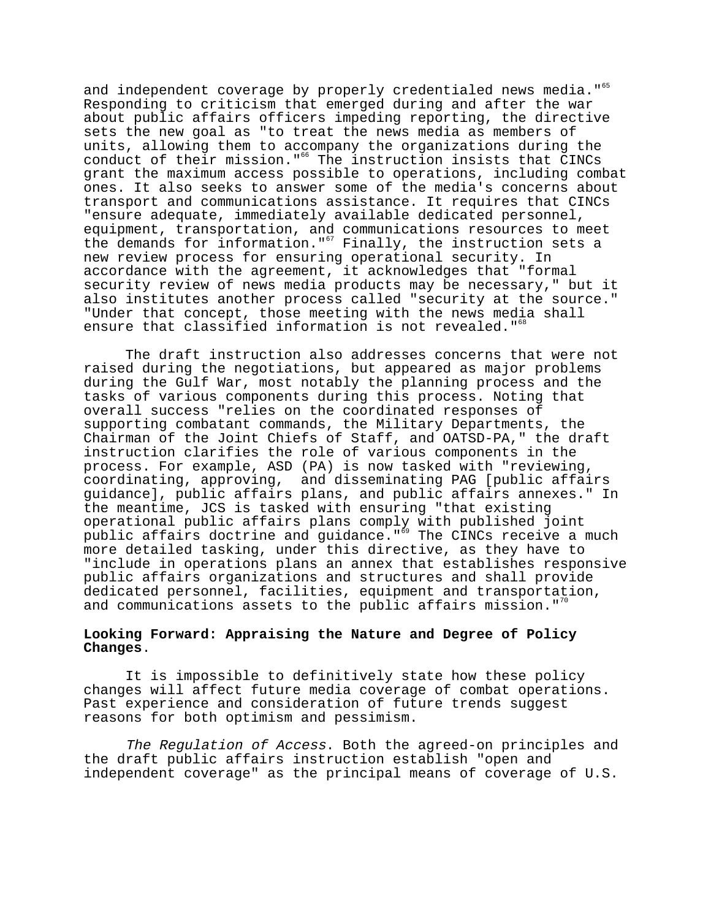and independent coverage by properly credentialed news media."<sup>65</sup> Responding to criticism that emerged during and after the war about public affairs officers impeding reporting, the directive sets the new goal as "to treat the news media as members of units, allowing them to accompany the organizations during the conduct of their mission."66 The instruction insists that CINCs grant the maximum access possible to operations, including combat ones. It also seeks to answer some of the media's concerns about transport and communications assistance. It requires that CINCs "ensure adequate, immediately available dedicated personnel, equipment, transportation, and communications resources to meet the demands for information." $67$  Finally, the instruction sets a new review process for ensuring operational security. In accordance with the agreement, it acknowledges that "formal security review of news media products may be necessary," but it also institutes another process called "security at the source." "Under that concept, those meeting with the news media shall ensure that classified information is not revealed."<sup>68</sup>

The draft instruction also addresses concerns that were not raised during the negotiations, but appeared as major problems during the Gulf War, most notably the planning process and the tasks of various components during this process. Noting that overall success "relies on the coordinated responses of supporting combatant commands, the Military Departments, the Chairman of the Joint Chiefs of Staff, and OATSD-PA," the draft instruction clarifies the role of various components in the process. For example, ASD (PA) is now tasked with "reviewing, coordinating, approving, and disseminating PAG [public affairs guidance], public affairs plans, and public affairs annexes." In the meantime, JCS is tasked with ensuring "that existing operational public affairs plans comply with published joint public affairs doctrine and guidance."<sup>59</sup> The CINCs receive a much more detailed tasking, under this directive, as they have to "include in operations plans an annex that establishes responsive public affairs organizations and structures and shall provide dedicated personnel, facilities, equipment and transportation, and communications assets to the public affairs mission."<sup>70</sup>

## **Looking Forward: Appraising the Nature and Degree of Policy Changes**.

It is impossible to definitively state how these policy changes will affect future media coverage of combat operations. Past experience and consideration of future trends suggest reasons for both optimism and pessimism.

The Regulation of Access. Both the agreed-on principles and the draft public affairs instruction establish "open and independent coverage" as the principal means of coverage of U.S.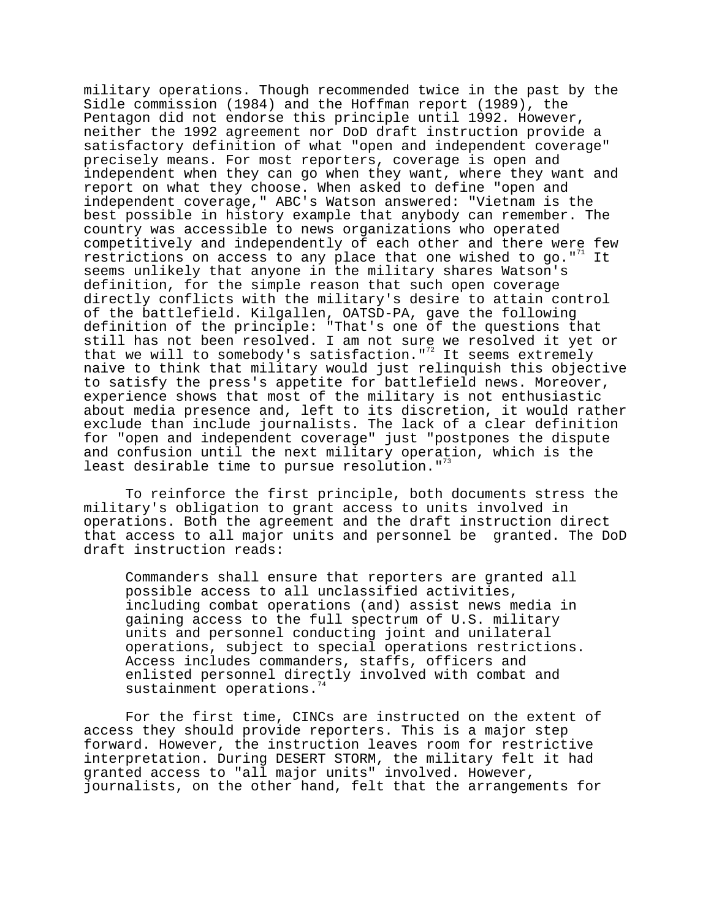military operations. Though recommended twice in the past by the Sidle commission (1984) and the Hoffman report (1989), the Pentagon did not endorse this principle until 1992. However, neither the 1992 agreement nor DoD draft instruction provide a satisfactory definition of what "open and independent coverage" precisely means. For most reporters, coverage is open and independent when they can go when they want, where they want and report on what they choose. When asked to define "open and independent coverage," ABC's Watson answered: "Vietnam is the best possible in history example that anybody can remember. The country was accessible to news organizations who operated competitively and independently of each other and there were few restrictions on access to any place that one wished to go."<sup>71</sup> It seems unlikely that anyone in the military shares Watson's definition, for the simple reason that such open coverage directly conflicts with the military's desire to attain control of the battlefield. Kilgallen, OATSD-PA, gave the following definition of the principle: "That's one of the questions that still has not been resolved. I am not sure we resolved it yet or that we will to somebody's satisfaction."<sup>72</sup> It seems extremely naive to think that military would just relinquish this objective to satisfy the press's appetite for battlefield news. Moreover, experience shows that most of the military is not enthusiastic about media presence and, left to its discretion, it would rather exclude than include journalists. The lack of a clear definition for "open and independent coverage" just "postpones the dispute and confusion until the next military operation, which is the least desirable time to pursue resolution.  $"$ <sup>33</sup>

To reinforce the first principle, both documents stress the military's obligation to grant access to units involved in operations. Both the agreement and the draft instruction direct that access to all major units and personnel be granted. The DoD draft instruction reads:

Commanders shall ensure that reporters are granted all possible access to all unclassified activities, including combat operations (and) assist news media in gaining access to the full spectrum of U.S. military units and personnel conducting joint and unilateral operations, subject to special operations restrictions. Access includes commanders, staffs, officers and enlisted personnel directly involved with combat and sustainment operations.

For the first time, CINCs are instructed on the extent of access they should provide reporters. This is a major step forward. However, the instruction leaves room for restrictive interpretation. During DESERT STORM, the military felt it had granted access to "all major units" involved. However, journalists, on the other hand, felt that the arrangements for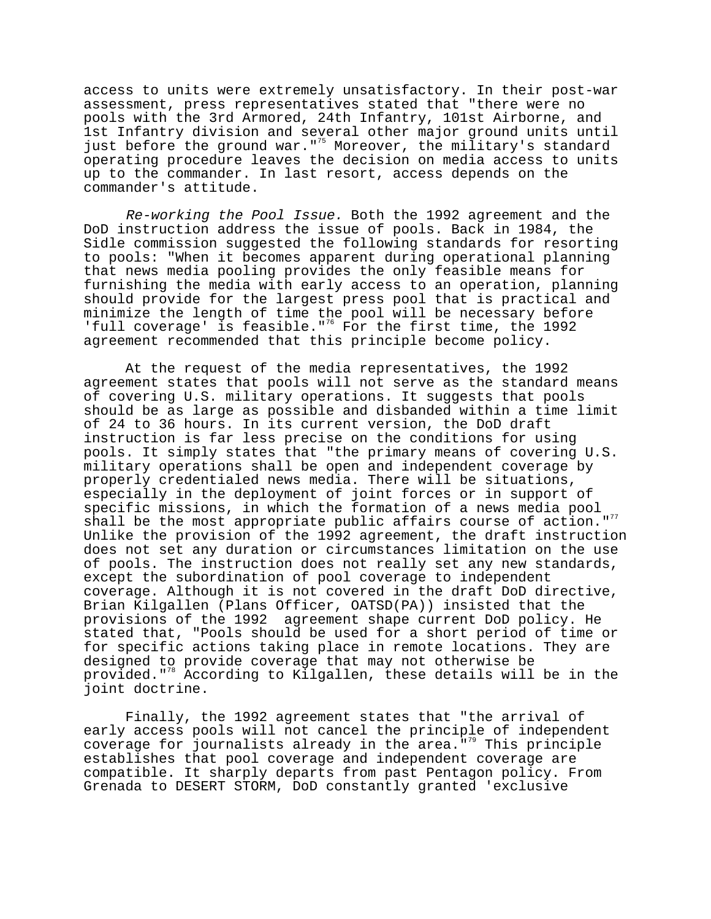access to units were extremely unsatisfactory. In their post-war assessment, press representatives stated that "there were no pools with the 3rd Armored, 24th Infantry, 101st Airborne, and 1st Infantry division and several other major ground units until just before the ground war."<sup>75</sup> Moreover, the military's standard operating procedure leaves the decision on media access to units up to the commander. In last resort, access depends on the commander's attitude.

Re-working the Pool Issue. Both the 1992 agreement and the DoD instruction address the issue of pools. Back in 1984, the Sidle commission suggested the following standards for resorting to pools: "When it becomes apparent during operational planning that news media pooling provides the only feasible means for furnishing the media with early access to an operation, planning should provide for the largest press pool that is practical and minimize the length of time the pool will be necessary before 'full coverage' is feasible."<sup>76</sup> For the first time, the 1992 agreement recommended that this principle become policy.

At the request of the media representatives, the 1992 agreement states that pools will not serve as the standard means of covering U.S. military operations. It suggests that pools should be as large as possible and disbanded within a time limit of 24 to 36 hours. In its current version, the DoD draft instruction is far less precise on the conditions for using pools. It simply states that "the primary means of covering U.S. military operations shall be open and independent coverage by properly credentialed news media. There will be situations, especially in the deployment of joint forces or in support of specific missions, in which the formation of a news media pool shall be the most appropriate public affairs course of action."<sup>77</sup> Unlike the provision of the 1992 agreement, the draft instruction does not set any duration or circumstances limitation on the use of pools. The instruction does not really set any new standards, except the subordination of pool coverage to independent coverage. Although it is not covered in the draft DoD directive, Brian Kilgallen (Plans Officer, OATSD(PA)) insisted that the provisions of the 1992 agreement shape current DoD policy. He stated that, "Pools should be used for a short period of time or for specific actions taking place in remote locations. They are designed to provide coverage that may not otherwise be provided."78 According to Kilgallen, these details will be in the joint doctrine.

Finally, the 1992 agreement states that "the arrival of early access pools will not cancel the principle of independent coverage for journalists already in the area." $\frac{1}{2}$  This principle establishes that pool coverage and independent coverage are compatible. It sharply departs from past Pentagon policy. From Grenada to DESERT STORM, DoD constantly granted 'exclusive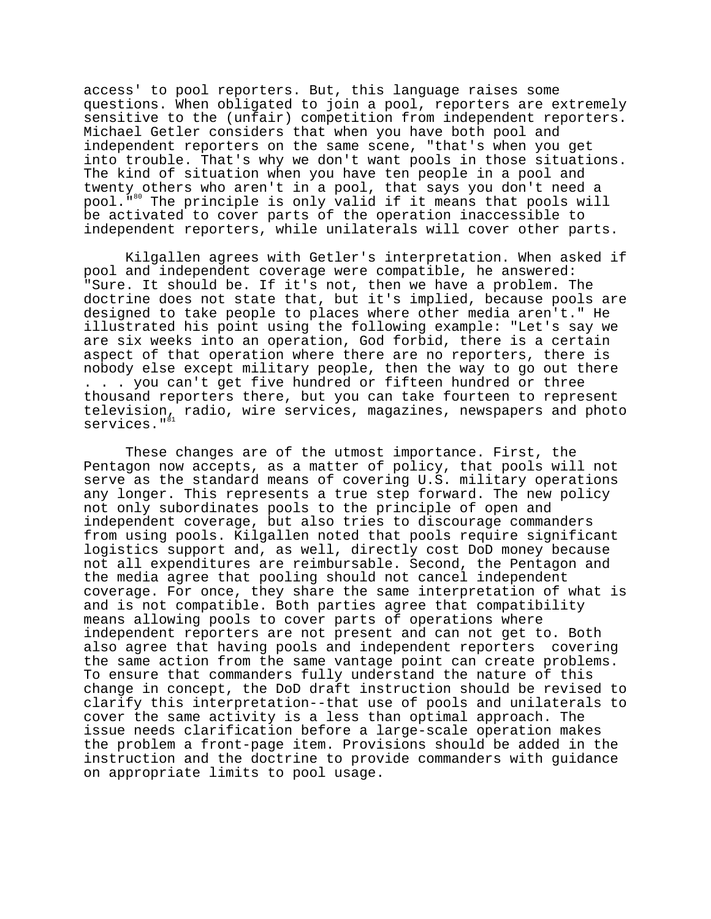access' to pool reporters. But, this language raises some questions. When obligated to join a pool, reporters are extremely sensitive to the (unfair) competition from independent reporters. Michael Getler considers that when you have both pool and independent reporters on the same scene, "that's when you get into trouble. That's why we don't want pools in those situations. The kind of situation when you have ten people in a pool and twenty others who aren't in a pool, that says you don't need a pool."80 The principle is only valid if it means that pools will be activated to cover parts of the operation inaccessible to independent reporters, while unilaterals will cover other parts.

Kilgallen agrees with Getler's interpretation. When asked if pool and independent coverage were compatible, he answered: "Sure. It should be. If it's not, then we have a problem. The doctrine does not state that, but it's implied, because pools are designed to take people to places where other media aren't." He illustrated his point using the following example: "Let's say we are six weeks into an operation, God forbid, there is a certain aspect of that operation where there are no reporters, there is nobody else except military people, then the way to go out there . . . you can't get five hundred or fifteen hundred or three thousand reporters there, but you can take fourteen to represent television, radio, wire services, magazines, newspapers and photo services." $^{81}$ 

These changes are of the utmost importance. First, the Pentagon now accepts, as a matter of policy, that pools will not serve as the standard means of covering U.S. military operations any longer. This represents a true step forward. The new policy not only subordinates pools to the principle of open and independent coverage, but also tries to discourage commanders from using pools. Kilgallen noted that pools require significant logistics support and, as well, directly cost DoD money because not all expenditures are reimbursable. Second, the Pentagon and the media agree that pooling should not cancel independent coverage. For once, they share the same interpretation of what is and is not compatible. Both parties agree that compatibility means allowing pools to cover parts of operations where independent reporters are not present and can not get to. Both also agree that having pools and independent reporters covering the same action from the same vantage point can create problems. To ensure that commanders fully understand the nature of this change in concept, the DoD draft instruction should be revised to clarify this interpretation--that use of pools and unilaterals to cover the same activity is a less than optimal approach. The issue needs clarification before a large-scale operation makes the problem a front-page item. Provisions should be added in the instruction and the doctrine to provide commanders with guidance on appropriate limits to pool usage.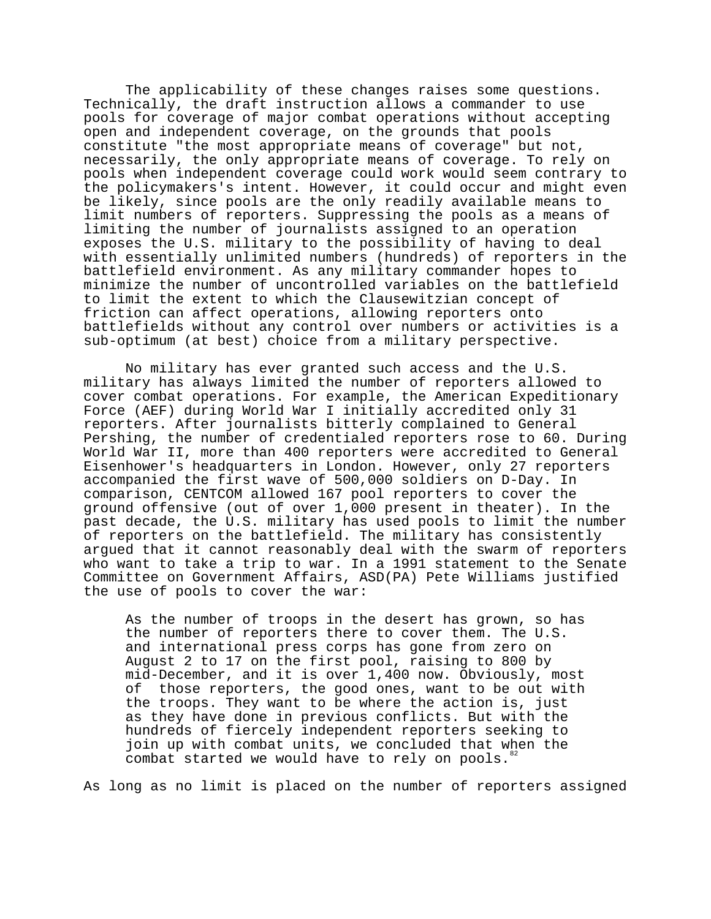The applicability of these changes raises some questions. Technically, the draft instruction allows a commander to use pools for coverage of major combat operations without accepting open and independent coverage, on the grounds that pools constitute "the most appropriate means of coverage" but not, necessarily, the only appropriate means of coverage. To rely on pools when independent coverage could work would seem contrary to the policymakers's intent. However, it could occur and might even be likely, since pools are the only readily available means to limit numbers of reporters. Suppressing the pools as a means of limiting the number of journalists assigned to an operation exposes the U.S. military to the possibility of having to deal with essentially unlimited numbers (hundreds) of reporters in the battlefield environment. As any military commander hopes to minimize the number of uncontrolled variables on the battlefield to limit the extent to which the Clausewitzian concept of friction can affect operations, allowing reporters onto battlefields without any control over numbers or activities is a sub-optimum (at best) choice from a military perspective.

No military has ever granted such access and the U.S. military has always limited the number of reporters allowed to cover combat operations. For example, the American Expeditionary Force (AEF) during World War I initially accredited only 31 reporters. After journalists bitterly complained to General Pershing, the number of credentialed reporters rose to 60. During World War II, more than 400 reporters were accredited to General Eisenhower's headquarters in London. However, only 27 reporters accompanied the first wave of 500,000 soldiers on D-Day. In comparison, CENTCOM allowed 167 pool reporters to cover the ground offensive (out of over 1,000 present in theater). In the past decade, the U.S. military has used pools to limit the number of reporters on the battlefield. The military has consistently argued that it cannot reasonably deal with the swarm of reporters who want to take a trip to war. In a 1991 statement to the Senate Committee on Government Affairs, ASD(PA) Pete Williams justified the use of pools to cover the war:

As the number of troops in the desert has grown, so has the number of reporters there to cover them. The U.S. and international press corps has gone from zero on August 2 to 17 on the first pool, raising to 800 by mid-December, and it is over 1,400 now. Obviously, most of those reporters, the good ones, want to be out with the troops. They want to be where the action is, just as they have done in previous conflicts. But with the hundreds of fiercely independent reporters seeking to join up with combat units, we concluded that when the combat started we would have to rely on pools.<sup>82</sup>

As long as no limit is placed on the number of reporters assigned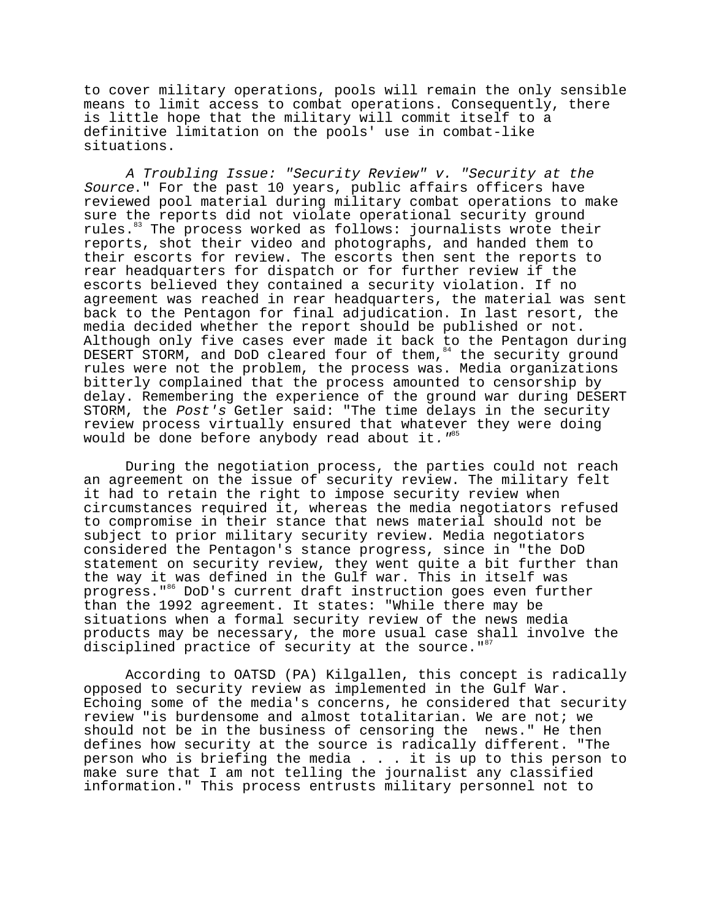to cover military operations, pools will remain the only sensible means to limit access to combat operations. Consequently, there is little hope that the military will commit itself to a definitive limitation on the pools' use in combat-like situations.

A Troubling Issue: "Security Review" v. "Security at the Source." For the past 10 years, public affairs officers have reviewed pool material during military combat operations to make sure the reports did not violate operational security ground rules.<sup>83</sup> The process worked as follows: journalists wrote their reports, shot their video and photographs, and handed them to their escorts for review. The escorts then sent the reports to rear headquarters for dispatch or for further review if the escorts believed they contained a security violation. If no agreement was reached in rear headquarters, the material was sent back to the Pentagon for final adjudication. In last resort, the media decided whether the report should be published or not. Although only five cases ever made it back to the Pentagon during DESERT STORM, and DoD cleared four of them, 84 the security ground rules were not the problem, the process was. Media organizations bitterly complained that the process amounted to censorship by delay. Remembering the experience of the ground war during DESERT STORM, the Post's Getler said: "The time delays in the security review process virtually ensured that whatever they were doing would be done before anybody read about it.  $"$ <sup>85</sup>

During the negotiation process, the parties could not reach an agreement on the issue of security review. The military felt it had to retain the right to impose security review when circumstances required it, whereas the media negotiators refused to compromise in their stance that news material should not be subject to prior military security review. Media negotiators considered the Pentagon's stance progress, since in "the DoD statement on security review, they went quite a bit further than the way it was defined in the Gulf war. This in itself was progress."<sup>86</sup> DoD's current draft instruction goes even further than the 1992 agreement. It states: "While there may be situations when a formal security review of the news media products may be necessary, the more usual case shall involve the disciplined practice of security at the source.  $"$ 

According to OATSD (PA) Kilgallen, this concept is radically opposed to security review as implemented in the Gulf War. Echoing some of the media's concerns, he considered that security review "is burdensome and almost totalitarian. We are not; we should not be in the business of censoring the news." He then defines how security at the source is radically different. "The person who is briefing the media . . . it is up to this person to make sure that I am not telling the journalist any classified information." This process entrusts military personnel not to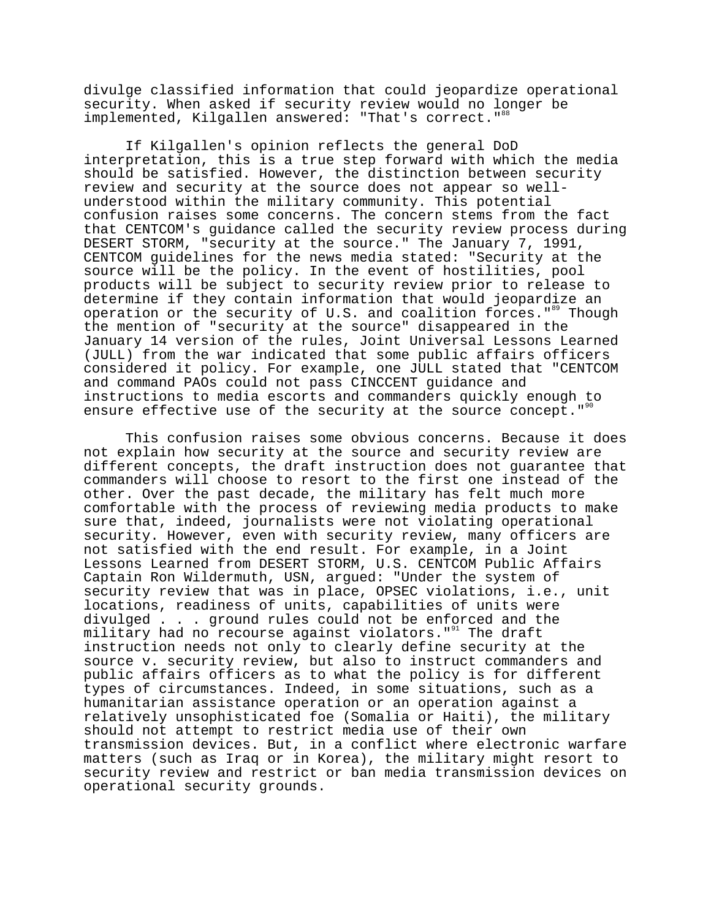divulge classified information that could jeopardize operational security. When asked if security review would no longer be implemented, Kilgallen answered: "That's correct."<sup>88</sup>

If Kilgallen's opinion reflects the general DoD interpretation, this is a true step forward with which the media should be satisfied. However, the distinction between security review and security at the source does not appear so wellunderstood within the military community. This potential confusion raises some concerns. The concern stems from the fact that CENTCOM's guidance called the security review process during DESERT STORM, "security at the source." The January 7, 1991, CENTCOM guidelines for the news media stated: "Security at the source will be the policy. In the event of hostilities, pool products will be subject to security review prior to release to determine if they contain information that would jeopardize an operation or the security of U.S. and coalition forces."<sup>89</sup> Though the mention of "security at the source" disappeared in the January 14 version of the rules, Joint Universal Lessons Learned (JULL) from the war indicated that some public affairs officers considered it policy. For example, one JULL stated that "CENTCOM and command PAOs could not pass CINCCENT guidance and instructions to media escorts and commanders quickly enough to ensure effective use of the security at the source concept.  $"$ 

This confusion raises some obvious concerns. Because it does not explain how security at the source and security review are different concepts, the draft instruction does not guarantee that commanders will choose to resort to the first one instead of the other. Over the past decade, the military has felt much more comfortable with the process of reviewing media products to make sure that, indeed, journalists were not violating operational security. However, even with security review, many officers are not satisfied with the end result. For example, in a Joint Lessons Learned from DESERT STORM, U.S. CENTCOM Public Affairs Captain Ron Wildermuth, USN, argued: "Under the system of security review that was in place, OPSEC violations, i.e., unit locations, readiness of units, capabilities of units were divulged . . . ground rules could not be enforced and the military had no recourse against violators."<sup>91</sup> The draft instruction needs not only to clearly define security at the source v. security review, but also to instruct commanders and public affairs officers as to what the policy is for different types of circumstances. Indeed, in some situations, such as a humanitarian assistance operation or an operation against a relatively unsophisticated foe (Somalia or Haiti), the military should not attempt to restrict media use of their own transmission devices. But, in a conflict where electronic warfare matters (such as Iraq or in Korea), the military might resort to security review and restrict or ban media transmission devices on operational security grounds.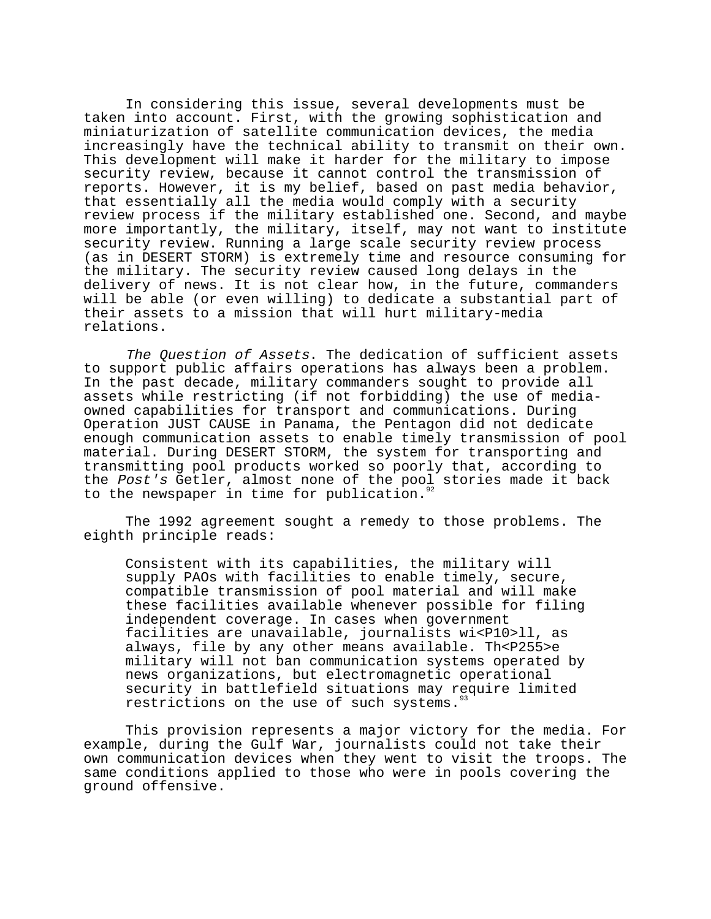In considering this issue, several developments must be taken into account. First, with the growing sophistication and miniaturization of satellite communication devices, the media increasingly have the technical ability to transmit on their own. This development will make it harder for the military to impose security review, because it cannot control the transmission of reports. However, it is my belief, based on past media behavior, that essentially all the media would comply with a security review process if the military established one. Second, and maybe more importantly, the military, itself, may not want to institute security review. Running a large scale security review process (as in DESERT STORM) is extremely time and resource consuming for the military. The security review caused long delays in the delivery of news. It is not clear how, in the future, commanders will be able (or even willing) to dedicate a substantial part of their assets to a mission that will hurt military-media relations.

The Question of Assets. The dedication of sufficient assets to support public affairs operations has always been a problem. In the past decade, military commanders sought to provide all assets while restricting (if not forbidding) the use of mediaowned capabilities for transport and communications. During Operation JUST CAUSE in Panama, the Pentagon did not dedicate enough communication assets to enable timely transmission of pool material. During DESERT STORM, the system for transporting and transmitting pool products worked so poorly that, according to the Post's Getler, almost none of the pool stories made it back to the newspaper in time for publication.<sup>92</sup>

The 1992 agreement sought a remedy to those problems. The eighth principle reads:

Consistent with its capabilities, the military will supply PAOs with facilities to enable timely, secure, compatible transmission of pool material and will make these facilities available whenever possible for filing independent coverage. In cases when government facilities are unavailable, journalists wi<P10>ll, as always, file by any other means available. Th<P255>e military will not ban communication systems operated by news organizations, but electromagnetic operational security in battlefield situations may require limited restrictions on the use of such systems.<sup>5</sup>

This provision represents a major victory for the media. For example, during the Gulf War, journalists could not take their own communication devices when they went to visit the troops. The same conditions applied to those who were in pools covering the ground offensive.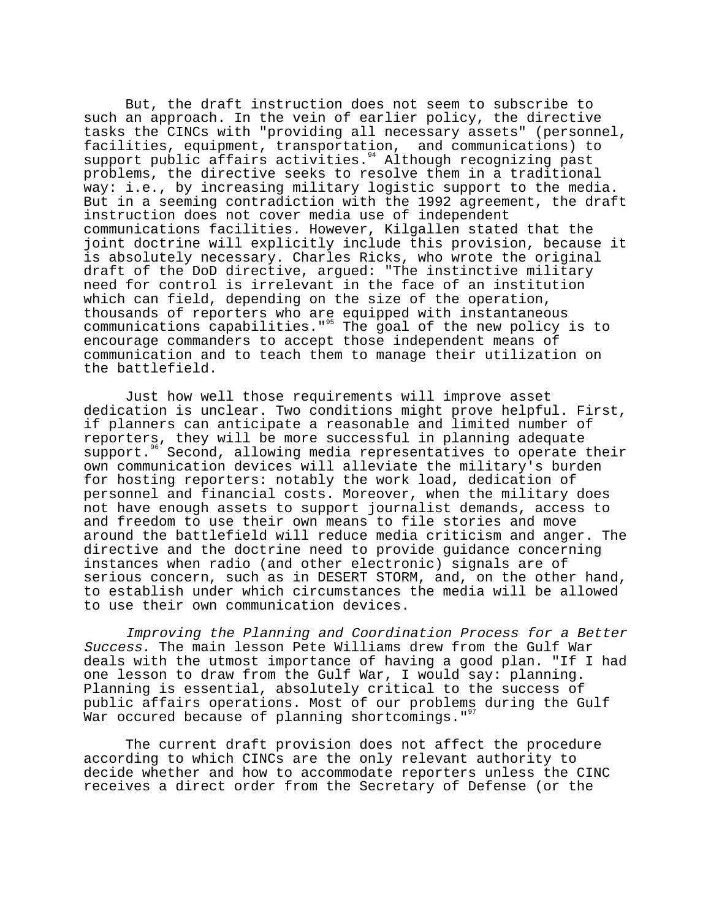But, the draft instruction does not seem to subscribe to such an approach. In the vein of earlier policy, the directive tasks the CINCs with "providing all necessary assets" (personnel, facilities, equipment, transportation, and communications) to support public affairs activities.<sup>94</sup> Although recognizing past problems, the directive seeks to resolve them in a traditional way: i.e., by increasing military logistic support to the media. But in a seeming contradiction with the 1992 agreement, the draft instruction does not cover media use of independent communications facilities. However, Kilgallen stated that the joint doctrine will explicitly include this provision, because it is absolutely necessary. Charles Ricks, who wrote the original draft of the DoD directive, argued: "The instinctive military need for control is irrelevant in the face of an institution which can field, depending on the size of the operation, thousands of reporters who are equipped with instantaneous communications capabilities."<sup>95</sup> The goal of the new policy is to encourage commanders to accept those independent means of communication and to teach them to manage their utilization on the battlefield.

Just how well those requirements will improve asset dedication is unclear. Two conditions might prove helpful. First, if planners can anticipate a reasonable and limited number of reporters, they will be more successful in planning adequate support.<sup>96</sup> Second, allowing media representatives to operate their own communication devices will alleviate the military's burden for hosting reporters: notably the work load, dedication of personnel and financial costs. Moreover, when the military does not have enough assets to support journalist demands, access to and freedom to use their own means to file stories and move around the battlefield will reduce media criticism and anger. The directive and the doctrine need to provide guidance concerning instances when radio (and other electronic) signals are of serious concern, such as in DESERT STORM, and, on the other hand, to establish under which circumstances the media will be allowed to use their own communication devices.

Improving the Planning and Coordination Process for a Better Success. The main lesson Pete Williams drew from the Gulf War deals with the utmost importance of having a good plan. "If I had one lesson to draw from the Gulf War, I would say: planning. Planning is essential, absolutely critical to the success of public affairs operations. Most of our problems during the Gulf War occured because of planning shortcomings."<sup>97</sup>

The current draft provision does not affect the procedure according to which CINCs are the only relevant authority to decide whether and how to accommodate reporters unless the CINC receives a direct order from the Secretary of Defense (or the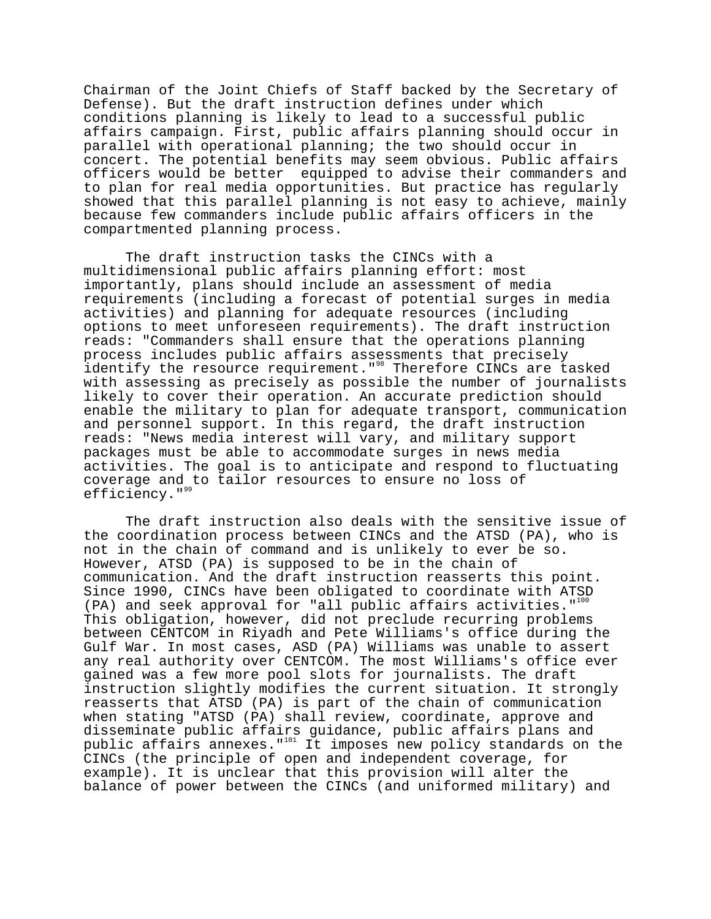Chairman of the Joint Chiefs of Staff backed by the Secretary of Defense). But the draft instruction defines under which conditions planning is likely to lead to a successful public affairs campaign. First, public affairs planning should occur in parallel with operational planning; the two should occur in concert. The potential benefits may seem obvious. Public affairs officers would be better equipped to advise their commanders and to plan for real media opportunities. But practice has regularly showed that this parallel planning is not easy to achieve, mainly because few commanders include public affairs officers in the compartmented planning process.

The draft instruction tasks the CINCs with a multidimensional public affairs planning effort: most importantly, plans should include an assessment of media requirements (including a forecast of potential surges in media activities) and planning for adequate resources (including options to meet unforeseen requirements). The draft instruction reads: "Commanders shall ensure that the operations planning process includes public affairs assessments that precisely identify the resource requirement."<sup>38</sup> Therefore CINCs are tasked with assessing as precisely as possible the number of journalists likely to cover their operation. An accurate prediction should enable the military to plan for adequate transport, communication and personnel support. In this regard, the draft instruction reads: "News media interest will vary, and military support packages must be able to accommodate surges in news media activities. The goal is to anticipate and respond to fluctuating coverage and to tailor resources to ensure no loss of efficiency."<sup>99</sup>

The draft instruction also deals with the sensitive issue of the coordination process between CINCs and the ATSD (PA), who is not in the chain of command and is unlikely to ever be so. However, ATSD (PA) is supposed to be in the chain of communication. And the draft instruction reasserts this point. Since 1990, CINCs have been obligated to coordinate with ATSD (PA) and seek approval for "all public affairs activities."<sup>100</sup> This obligation, however, did not preclude recurring problems between CENTCOM in Riyadh and Pete Williams's office during the Gulf War. In most cases, ASD (PA) Williams was unable to assert any real authority over CENTCOM. The most Williams's office ever gained was a few more pool slots for journalists. The draft instruction slightly modifies the current situation. It strongly reasserts that ATSD (PA) is part of the chain of communication when stating "ATSD (PA) shall review, coordinate, approve and disseminate public affairs guidance, public affairs plans and public affairs annexes."<sup>101</sup> It imposes new policy standards on the CINCs (the principle of open and independent coverage, for example). It is unclear that this provision will alter the balance of power between the CINCs (and uniformed military) and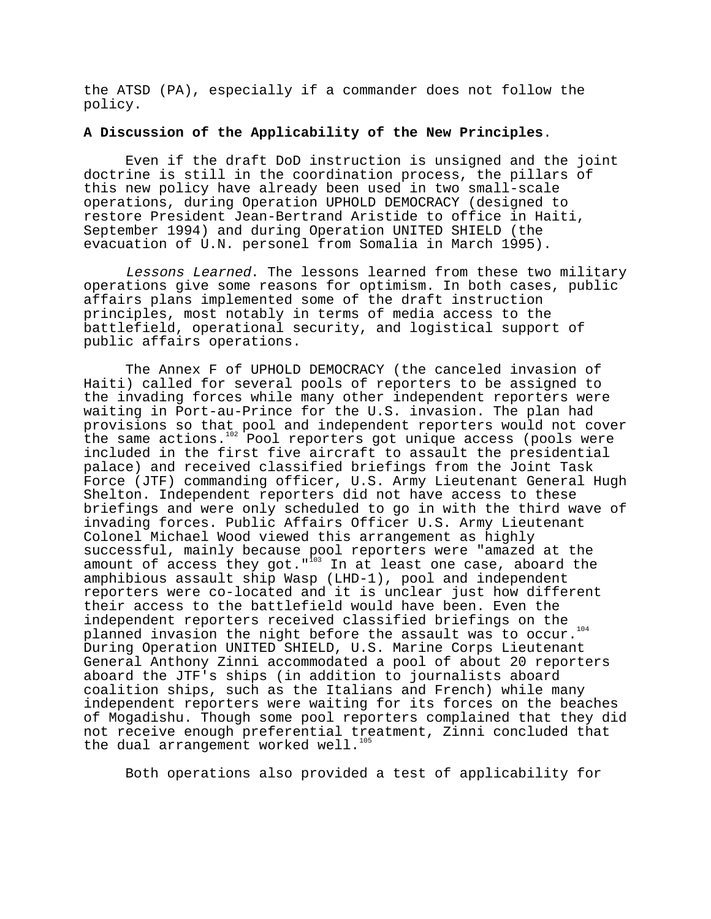the ATSD (PA), especially if a commander does not follow the policy.

## **A Discussion of the Applicability of the New Principles**.

Even if the draft DoD instruction is unsigned and the joint doctrine is still in the coordination process, the pillars of this new policy have already been used in two small-scale operations, during Operation UPHOLD DEMOCRACY (designed to restore President Jean-Bertrand Aristide to office in Haiti, September 1994) and during Operation UNITED SHIELD (the evacuation of U.N. personel from Somalia in March 1995).

Lessons Learned. The lessons learned from these two military operations give some reasons for optimism. In both cases, public affairs plans implemented some of the draft instruction principles, most notably in terms of media access to the battlefield, operational security, and logistical support of public affairs operations.

The Annex F of UPHOLD DEMOCRACY (the canceled invasion of Haiti) called for several pools of reporters to be assigned to the invading forces while many other independent reporters were waiting in Port-au-Prince for the U.S. invasion. The plan had provisions so that pool and independent reporters would not cover the same actions.<sup>102</sup> Pool reporters got unique access (pools were included in the first five aircraft to assault the presidential palace) and received classified briefings from the Joint Task Force (JTF) commanding officer, U.S. Army Lieutenant General Hugh Shelton. Independent reporters did not have access to these briefings and were only scheduled to go in with the third wave of invading forces. Public Affairs Officer U.S. Army Lieutenant Colonel Michael Wood viewed this arrangement as highly successful, mainly because pool reporters were "amazed at the amount of access they got."<sup>103</sup> In at least one case, aboard the amphibious assault ship Wasp (LHD-1), pool and independent reporters were co-located and it is unclear just how different their access to the battlefield would have been. Even the independent reporters received classified briefings on the planned invasion the night before the assault was to occur.<sup>104</sup> During Operation UNITED SHIELD, U.S. Marine Corps Lieutenant General Anthony Zinni accommodated a pool of about 20 reporters aboard the JTF's ships (in addition to journalists aboard coalition ships, such as the Italians and French) while many independent reporters were waiting for its forces on the beaches of Mogadishu. Though some pool reporters complained that they did not receive enough preferential treatment, Zinni concluded that the dual arrangement worked well.<sup>1</sup>

Both operations also provided a test of applicability for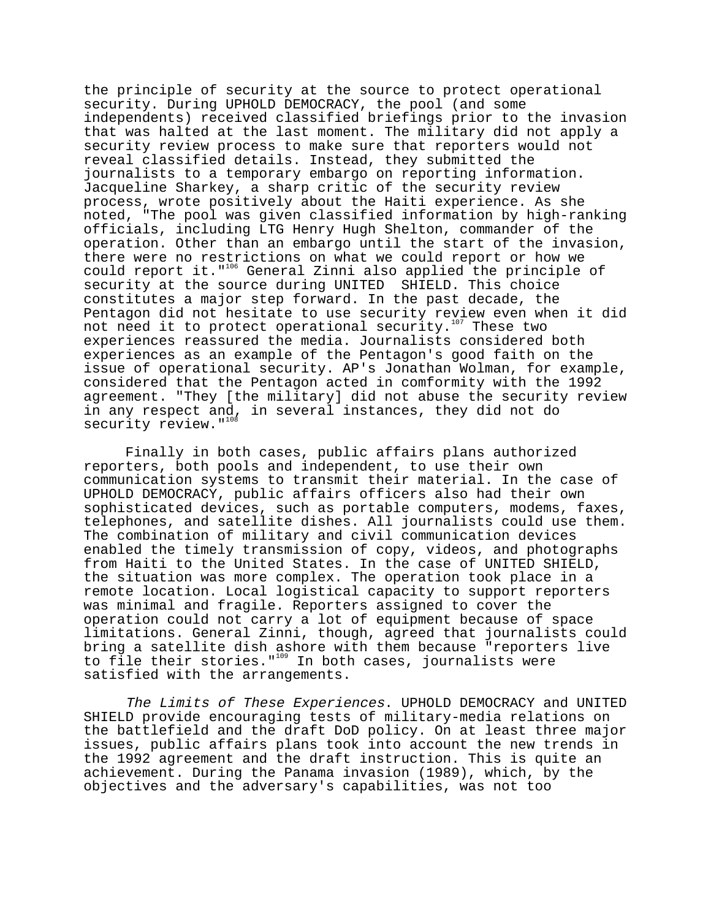the principle of security at the source to protect operational security. During UPHOLD DEMOCRACY, the pool (and some independents) received classified briefings prior to the invasion that was halted at the last moment. The military did not apply a security review process to make sure that reporters would not reveal classified details. Instead, they submitted the journalists to a temporary embargo on reporting information. Jacqueline Sharkey, a sharp critic of the security review process, wrote positively about the Haiti experience. As she noted, "The pool was given classified information by high-ranking officials, including LTG Henry Hugh Shelton, commander of the operation. Other than an embargo until the start of the invasion, there were no restrictions on what we could report or how we could report it."<sup>106</sup> General Zinni also applied the principle of security at the source during UNITED SHIELD. This choice constitutes a major step forward. In the past decade, the Pentagon did not hesitate to use security review even when it did not need it to protect operational security.<sup>107</sup> These two experiences reassured the media. Journalists considered both experiences as an example of the Pentagon's good faith on the issue of operational security. AP's Jonathan Wolman, for example, considered that the Pentagon acted in comformity with the 1992 agreement. "They [the military] did not abuse the security review in any respect and, in several instances, they did not do security review. "108

Finally in both cases, public affairs plans authorized reporters, both pools and independent, to use their own communication systems to transmit their material. In the case of UPHOLD DEMOCRACY, public affairs officers also had their own sophisticated devices, such as portable computers, modems, faxes, telephones, and satellite dishes. All journalists could use them. The combination of military and civil communication devices enabled the timely transmission of copy, videos, and photographs from Haiti to the United States. In the case of UNITED SHIELD, the situation was more complex. The operation took place in a remote location. Local logistical capacity to support reporters was minimal and fragile. Reporters assigned to cover the operation could not carry a lot of equipment because of space limitations. General Zinni, though, agreed that journalists could bring a satellite dish ashore with them because "reporters live to file their stories."<sup>109</sup> In both cases, journalists were satisfied with the arrangements.

The Limits of These Experiences. UPHOLD DEMOCRACY and UNITED SHIELD provide encouraging tests of military-media relations on the battlefield and the draft DoD policy. On at least three major issues, public affairs plans took into account the new trends in the 1992 agreement and the draft instruction. This is quite an achievement. During the Panama invasion (1989), which, by the objectives and the adversary's capabilities, was not too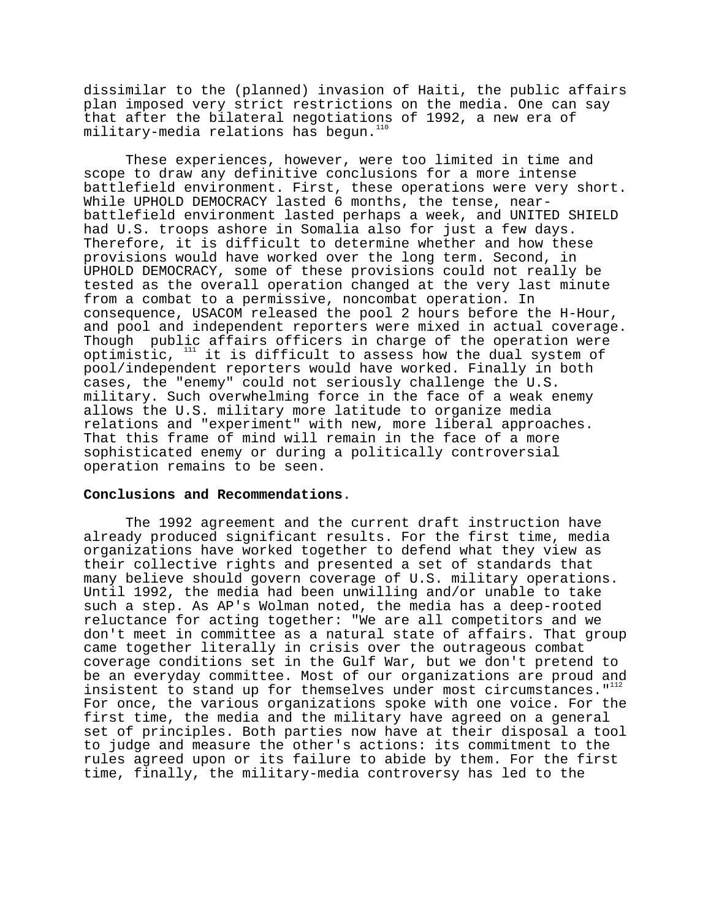dissimilar to the (planned) invasion of Haiti, the public affairs plan imposed very strict restrictions on the media. One can say that after the bilateral negotiations of 1992, a new era of  $military-modela$  relations has begun.<sup>110</sup>

These experiences, however, were too limited in time and scope to draw any definitive conclusions for a more intense battlefield environment. First, these operations were very short. While UPHOLD DEMOCRACY lasted 6 months, the tense, nearbattlefield environment lasted perhaps a week, and UNITED SHIELD had U.S. troops ashore in Somalia also for just a few days. Therefore, it is difficult to determine whether and how these provisions would have worked over the long term. Second, in UPHOLD DEMOCRACY, some of these provisions could not really be tested as the overall operation changed at the very last minute from a combat to a permissive, noncombat operation. In consequence, USACOM released the pool 2 hours before the H-Hour, and pool and independent reporters were mixed in actual coverage. Though public affairs officers in charge of the operation were optimistic,  $111$  it is difficult to assess how the dual system of pool/independent reporters would have worked. Finally in both cases, the "enemy" could not seriously challenge the U.S. military. Such overwhelming force in the face of a weak enemy allows the U.S. military more latitude to organize media relations and "experiment" with new, more liberal approaches. That this frame of mind will remain in the face of a more sophisticated enemy or during a politically controversial operation remains to be seen.

### **Conclusions and Recommendations**.

The 1992 agreement and the current draft instruction have already produced significant results. For the first time, media organizations have worked together to defend what they view as their collective rights and presented a set of standards that many believe should govern coverage of U.S. military operations. Until 1992, the media had been unwilling and/or unable to take such a step. As AP's Wolman noted, the media has a deep-rooted reluctance for acting together: "We are all competitors and we don't meet in committee as a natural state of affairs. That group came together literally in crisis over the outrageous combat coverage conditions set in the Gulf War, but we don't pretend to be an everyday committee. Most of our organizations are proud and insistent to stand up for themselves under most circumstances."<sup>112</sup> For once, the various organizations spoke with one voice. For the first time, the media and the military have agreed on a general set of principles. Both parties now have at their disposal a tool to judge and measure the other's actions: its commitment to the rules agreed upon or its failure to abide by them. For the first time, finally, the military-media controversy has led to the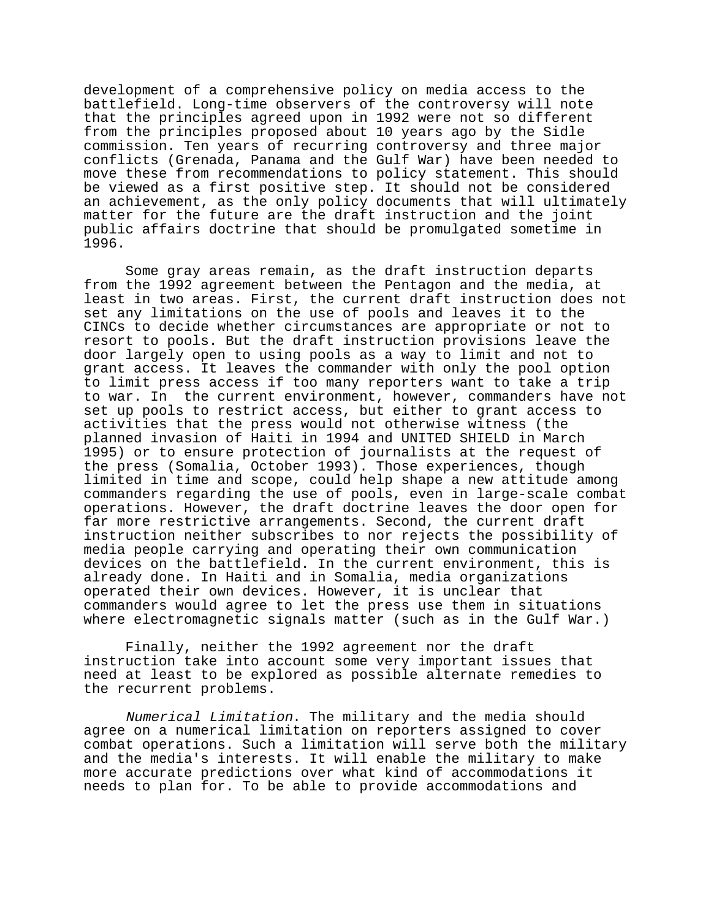development of a comprehensive policy on media access to the battlefield. Long-time observers of the controversy will note that the principles agreed upon in 1992 were not so different from the principles proposed about 10 years ago by the Sidle commission. Ten years of recurring controversy and three major conflicts (Grenada, Panama and the Gulf War) have been needed to move these from recommendations to policy statement. This should be viewed as a first positive step. It should not be considered an achievement, as the only policy documents that will ultimately matter for the future are the draft instruction and the joint public affairs doctrine that should be promulgated sometime in 1996.

Some gray areas remain, as the draft instruction departs from the 1992 agreement between the Pentagon and the media, at least in two areas. First, the current draft instruction does not set any limitations on the use of pools and leaves it to the CINCs to decide whether circumstances are appropriate or not to resort to pools. But the draft instruction provisions leave the door largely open to using pools as a way to limit and not to grant access. It leaves the commander with only the pool option to limit press access if too many reporters want to take a trip to war. In the current environment, however, commanders have not set up pools to restrict access, but either to grant access to activities that the press would not otherwise witness (the planned invasion of Haiti in 1994 and UNITED SHIELD in March 1995) or to ensure protection of journalists at the request of the press (Somalia, October 1993). Those experiences, though limited in time and scope, could help shape a new attitude among commanders regarding the use of pools, even in large-scale combat operations. However, the draft doctrine leaves the door open for far more restrictive arrangements. Second, the current draft instruction neither subscribes to nor rejects the possibility of media people carrying and operating their own communication devices on the battlefield. In the current environment, this is already done. In Haiti and in Somalia, media organizations operated their own devices. However, it is unclear that commanders would agree to let the press use them in situations where electromagnetic signals matter (such as in the Gulf War.)

Finally, neither the 1992 agreement nor the draft instruction take into account some very important issues that need at least to be explored as possible alternate remedies to the recurrent problems.

Numerical Limitation. The military and the media should agree on a numerical limitation on reporters assigned to cover combat operations. Such a limitation will serve both the military and the media's interests. It will enable the military to make more accurate predictions over what kind of accommodations it needs to plan for. To be able to provide accommodations and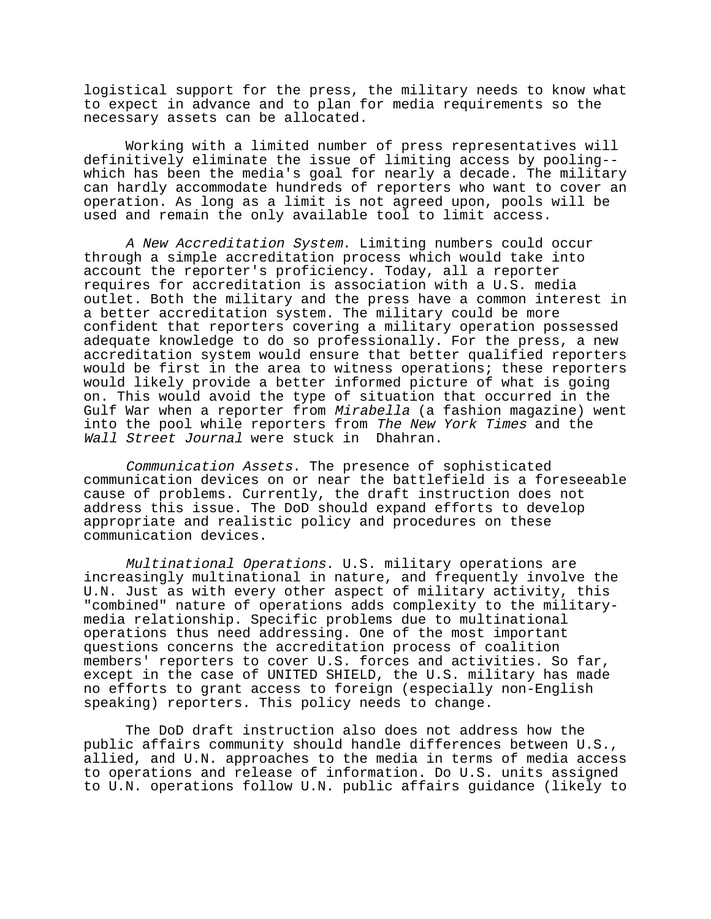logistical support for the press, the military needs to know what to expect in advance and to plan for media requirements so the necessary assets can be allocated.

Working with a limited number of press representatives will definitively eliminate the issue of limiting access by pooling- which has been the media's goal for nearly a decade. The military can hardly accommodate hundreds of reporters who want to cover an operation. As long as a limit is not agreed upon, pools will be used and remain the only available tool to limit access.

A New Accreditation System. Limiting numbers could occur through a simple accreditation process which would take into account the reporter's proficiency. Today, all a reporter requires for accreditation is association with a U.S. media outlet. Both the military and the press have a common interest in a better accreditation system. The military could be more confident that reporters covering a military operation possessed adequate knowledge to do so professionally. For the press, a new accreditation system would ensure that better qualified reporters would be first in the area to witness operations; these reporters would likely provide a better informed picture of what is going on. This would avoid the type of situation that occurred in the Gulf War when a reporter from Mirabella (a fashion magazine) went into the pool while reporters from The New York Times and the Wall Street Journal were stuck in Dhahran.

Communication Assets. The presence of sophisticated communication devices on or near the battlefield is a foreseeable cause of problems. Currently, the draft instruction does not address this issue. The DoD should expand efforts to develop appropriate and realistic policy and procedures on these communication devices.

Multinational Operations. U.S. military operations are increasingly multinational in nature, and frequently involve the U.N. Just as with every other aspect of military activity, this "combined" nature of operations adds complexity to the militarymedia relationship. Specific problems due to multinational operations thus need addressing. One of the most important questions concerns the accreditation process of coalition members' reporters to cover U.S. forces and activities. So far, except in the case of UNITED SHIELD, the U.S. military has made no efforts to grant access to foreign (especially non-English speaking) reporters. This policy needs to change.

The DoD draft instruction also does not address how the public affairs community should handle differences between U.S., allied, and U.N. approaches to the media in terms of media access to operations and release of information. Do U.S. units assigned to U.N. operations follow U.N. public affairs guidance (likely to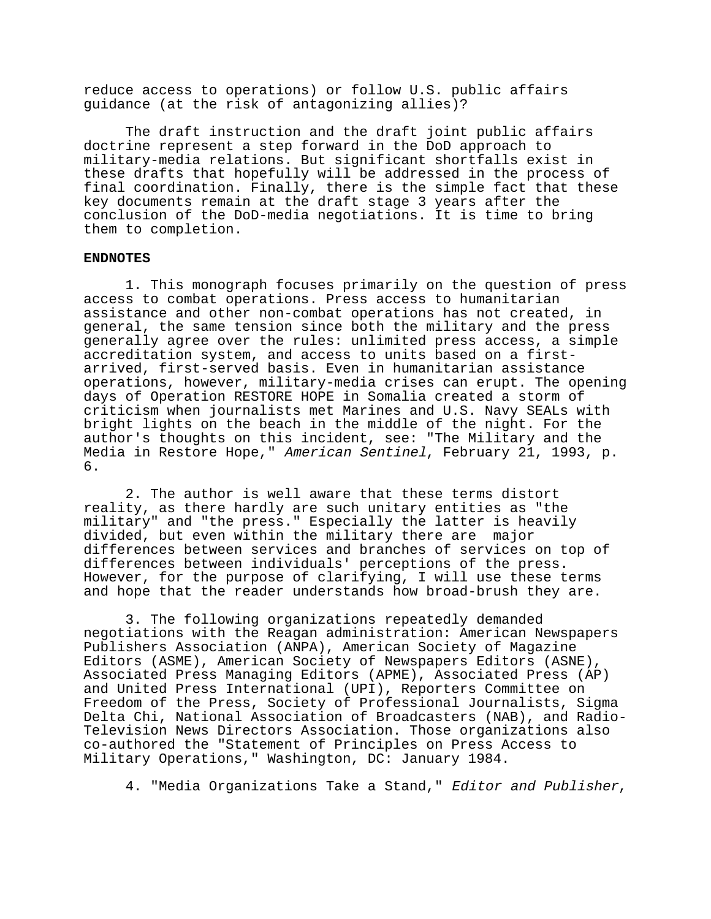reduce access to operations) or follow U.S. public affairs guidance (at the risk of antagonizing allies)?

The draft instruction and the draft joint public affairs doctrine represent a step forward in the DoD approach to military-media relations. But significant shortfalls exist in these drafts that hopefully will be addressed in the process of final coordination. Finally, there is the simple fact that these key documents remain at the draft stage 3 years after the conclusion of the DoD-media negotiations. It is time to bring them to completion.

### **ENDNOTES**

1. This monograph focuses primarily on the question of press access to combat operations. Press access to humanitarian assistance and other non-combat operations has not created, in general, the same tension since both the military and the press generally agree over the rules: unlimited press access, a simple accreditation system, and access to units based on a firstarrived, first-served basis. Even in humanitarian assistance operations, however, military-media crises can erupt. The opening days of Operation RESTORE HOPE in Somalia created a storm of criticism when journalists met Marines and U.S. Navy SEALs with bright lights on the beach in the middle of the night. For the author's thoughts on this incident, see: "The Military and the Media in Restore Hope," American Sentinel, February 21, 1993, p. 6.

2. The author is well aware that these terms distort reality, as there hardly are such unitary entities as "the military" and "the press." Especially the latter is heavily divided, but even within the military there are major differences between services and branches of services on top of differences between individuals' perceptions of the press. However, for the purpose of clarifying, I will use these terms and hope that the reader understands how broad-brush they are.

3. The following organizations repeatedly demanded negotiations with the Reagan administration: American Newspapers Publishers Association (ANPA), American Society of Magazine Editors (ASME), American Society of Newspapers Editors (ASNE), Associated Press Managing Editors (APME), Associated Press (AP) and United Press International (UPI), Reporters Committee on Freedom of the Press, Society of Professional Journalists, Sigma Delta Chi, National Association of Broadcasters (NAB), and Radio-Television News Directors Association. Those organizations also co-authored the "Statement of Principles on Press Access to Military Operations," Washington, DC: January 1984.

4. "Media Organizations Take a Stand," Editor and Publisher,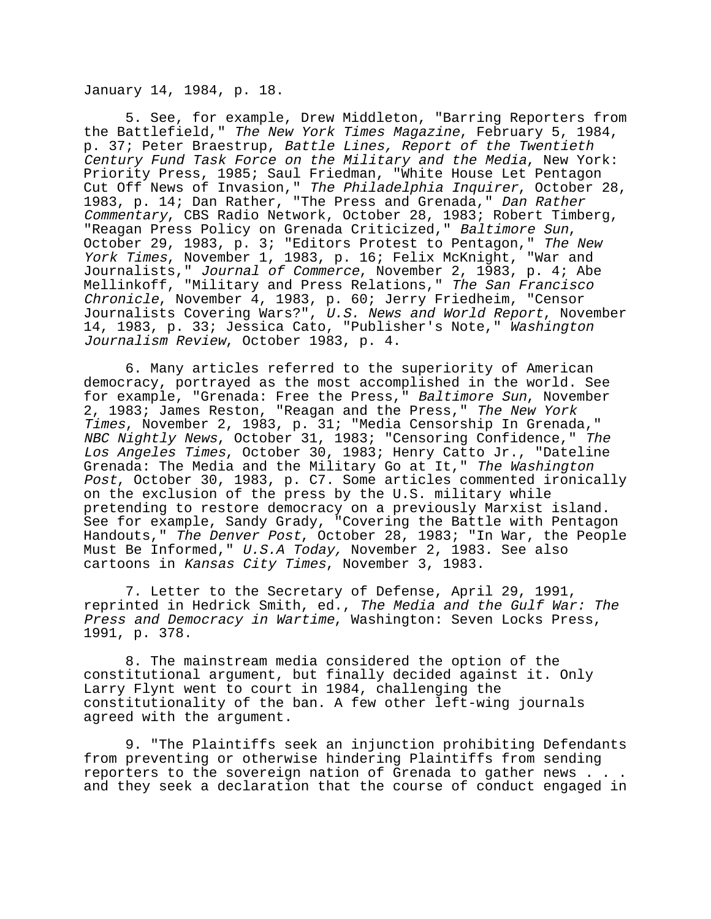January 14, 1984, p. 18.

5. See, for example, Drew Middleton, "Barring Reporters from the Battlefield," The New York Times Magazine, February 5, 1984, p. 37; Peter Braestrup, Battle Lines, Report of the Twentieth Century Fund Task Force on the Military and the Media, New York: Priority Press, 1985; Saul Friedman, "White House Let Pentagon Cut Off News of Invasion," The Philadelphia Inquirer, October 28, 1983, p. 14; Dan Rather, "The Press and Grenada," Dan Rather Commentary, CBS Radio Network, October 28, 1983; Robert Timberg, "Reagan Press Policy on Grenada Criticized," Baltimore Sun, October 29, 1983, p. 3; "Editors Protest to Pentagon," The New York Times, November 1, 1983, p. 16; Felix McKnight, "War and Journalists," Journal of Commerce, November 2, 1983, p. 4; Abe Mellinkoff, "Military and Press Relations," The San Francisco Chronicle, November 4, 1983, p. 60; Jerry Friedheim, "Censor Journalists Covering Wars?", U.S. News and World Report, November 14, 1983, p. 33; Jessica Cato, "Publisher's Note," Washington Journalism Review, October 1983, p. 4.

6. Many articles referred to the superiority of American democracy, portrayed as the most accomplished in the world. See for example, "Grenada: Free the Press," Baltimore Sun, November 2, 1983; James Reston, "Reagan and the Press," The New York Times, November 2, 1983, p. 31; "Media Censorship In Grenada," NBC Nightly News, October 31, 1983; "Censoring Confidence," The Los Angeles Times, October 30, 1983; Henry Catto Jr., "Dateline Grenada: The Media and the Military Go at It," The Washington Post, October 30, 1983, p. C7. Some articles commented ironically on the exclusion of the press by the U.S. military while pretending to restore democracy on a previously Marxist island. See for example, Sandy Grady, "Covering the Battle with Pentagon Handouts," The Denver Post, October 28, 1983; "In War, the People Must Be Informed," U.S.A Today, November 2, 1983. See also cartoons in Kansas City Times, November 3, 1983.

7. Letter to the Secretary of Defense, April 29, 1991, reprinted in Hedrick Smith, ed., The Media and the Gulf War: The Press and Democracy in Wartime, Washington: Seven Locks Press, 1991, p. 378.

8. The mainstream media considered the option of the constitutional argument, but finally decided against it. Only Larry Flynt went to court in 1984, challenging the constitutionality of the ban. A few other left-wing journals agreed with the argument.

9. "The Plaintiffs seek an injunction prohibiting Defendants from preventing or otherwise hindering Plaintiffs from sending reporters to the sovereign nation of Grenada to gather news . . . and they seek a declaration that the course of conduct engaged in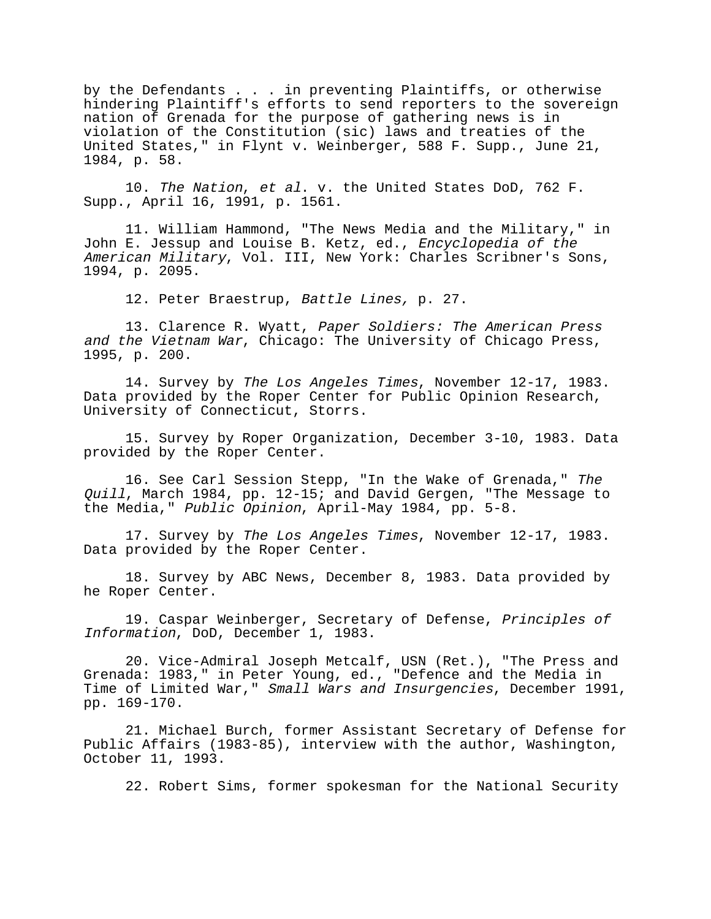by the Defendants . . . in preventing Plaintiffs, or otherwise hindering Plaintiff's efforts to send reporters to the sovereign nation of Grenada for the purpose of gathering news is in violation of the Constitution (sic) laws and treaties of the United States," in Flynt v. Weinberger, 588 F. Supp., June 21, 1984, p. 58.

10. The Nation, et al. v. the United States DoD, 762 F. Supp., April 16, 1991, p. 1561.

11. William Hammond, "The News Media and the Military," in John E. Jessup and Louise B. Ketz, ed., Encyclopedia of the American Military, Vol. III, New York: Charles Scribner's Sons, 1994, p. 2095.

12. Peter Braestrup, Battle Lines, p. 27.

13. Clarence R. Wyatt, Paper Soldiers: The American Press and the Vietnam War, Chicago: The University of Chicago Press, 1995, p. 200.

14. Survey by The Los Angeles Times, November 12-17, 1983. Data provided by the Roper Center for Public Opinion Research, University of Connecticut, Storrs.

15. Survey by Roper Organization, December 3-10, 1983. Data provided by the Roper Center.

16. See Carl Session Stepp, "In the Wake of Grenada," The Quill, March 1984, pp. 12-15; and David Gergen, "The Message to the Media," Public Opinion, April-May 1984, pp. 5-8.

17. Survey by The Los Angeles Times, November 12-17, 1983. Data provided by the Roper Center.

18. Survey by ABC News, December 8, 1983. Data provided by he Roper Center.

19. Caspar Weinberger, Secretary of Defense, Principles of Information, DoD, December 1, 1983.

20. Vice-Admiral Joseph Metcalf, USN (Ret.), "The Press and Grenada: 1983," in Peter Young, ed., "Defence and the Media in Time of Limited War," Small Wars and Insurgencies, December 1991, pp. 169-170.

21. Michael Burch, former Assistant Secretary of Defense for Public Affairs (1983-85), interview with the author, Washington, October 11, 1993.

22. Robert Sims, former spokesman for the National Security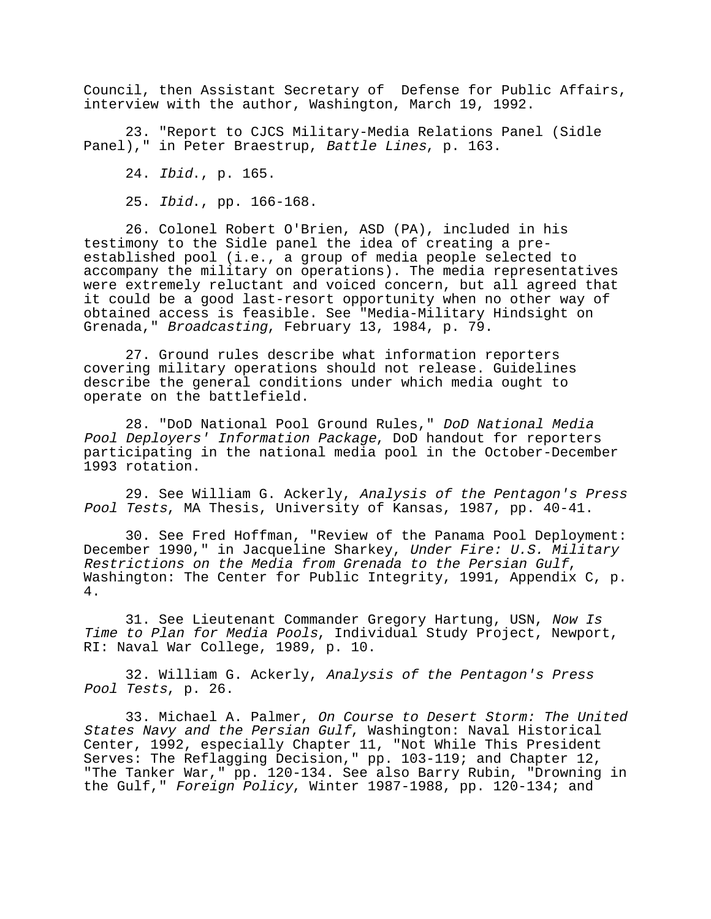Council, then Assistant Secretary of Defense for Public Affairs, interview with the author, Washington, March 19, 1992.

23. "Report to CJCS Military-Media Relations Panel (Sidle Panel)," in Peter Braestrup, Battle Lines, p. 163.

24. Ibid., p. 165.

25. Ibid., pp. 166-168.

26. Colonel Robert O'Brien, ASD (PA), included in his testimony to the Sidle panel the idea of creating a preestablished pool (i.e., a group of media people selected to accompany the military on operations). The media representatives were extremely reluctant and voiced concern, but all agreed that it could be a good last-resort opportunity when no other way of obtained access is feasible. See "Media-Military Hindsight on Grenada," Broadcasting, February 13, 1984, p. 79.

27. Ground rules describe what information reporters covering military operations should not release. Guidelines describe the general conditions under which media ought to operate on the battlefield.

28. "DoD National Pool Ground Rules," DoD National Media Pool Deployers' Information Package, DoD handout for reporters participating in the national media pool in the October-December 1993 rotation.

29. See William G. Ackerly, Analysis of the Pentagon's Press Pool Tests, MA Thesis, University of Kansas, 1987, pp. 40-41.

30. See Fred Hoffman, "Review of the Panama Pool Deployment: December 1990," in Jacqueline Sharkey, Under Fire: U.S. Military Restrictions on the Media from Grenada to the Persian Gulf, Washington: The Center for Public Integrity, 1991, Appendix C, p. 4.

31. See Lieutenant Commander Gregory Hartung, USN, Now Is Time to Plan for Media Pools, Individual Study Project, Newport, RI: Naval War College, 1989, p. 10.

32. William G. Ackerly, Analysis of the Pentagon's Press Pool Tests, p. 26.

33. Michael A. Palmer, On Course to Desert Storm: The United States Navy and the Persian Gulf, Washington: Naval Historical Center, 1992, especially Chapter 11, "Not While This President Serves: The Reflagging Decision," pp. 103-119; and Chapter 12, "The Tanker War," pp. 120-134. See also Barry Rubin, "Drowning in the Gulf," Foreign Policy, Winter 1987-1988, pp. 120-134; and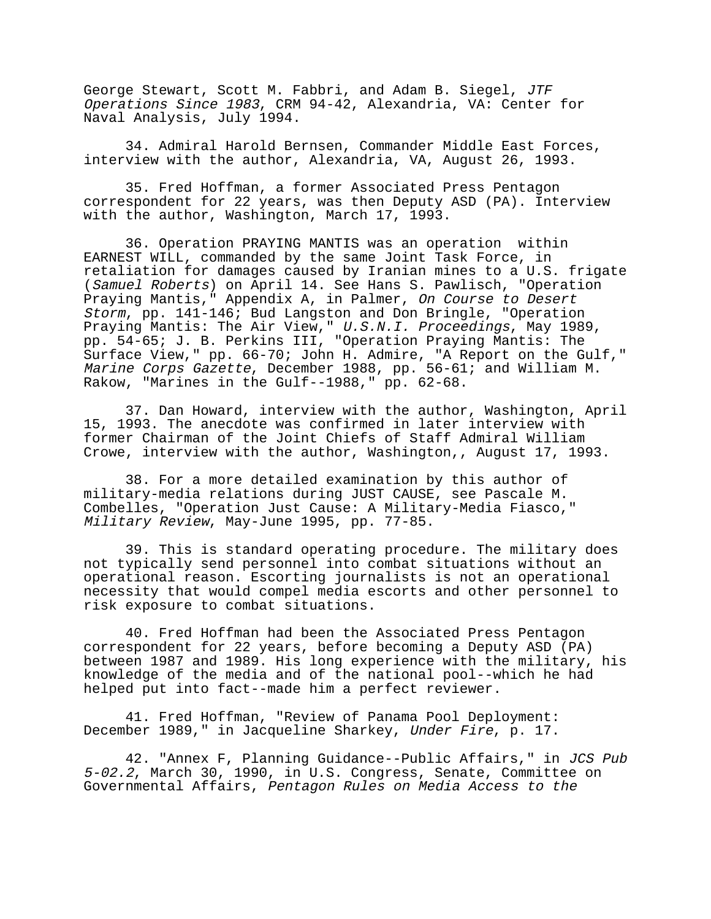George Stewart, Scott M. Fabbri, and Adam B. Siegel, JTF Operations Since 1983, CRM 94-42, Alexandria, VA: Center for Naval Analysis, July 1994.

34. Admiral Harold Bernsen, Commander Middle East Forces, interview with the author, Alexandria, VA, August 26, 1993.

35. Fred Hoffman, a former Associated Press Pentagon correspondent for 22 years, was then Deputy ASD (PA). Interview with the author, Washington, March 17, 1993.

36. Operation PRAYING MANTIS was an operation within EARNEST WILL, commanded by the same Joint Task Force, in retaliation for damages caused by Iranian mines to a U.S. frigate (Samuel Roberts) on April 14. See Hans S. Pawlisch, "Operation Praying Mantis," Appendix A, in Palmer, On Course to Desert Storm, pp. 141-146; Bud Langston and Don Bringle, "Operation Praying Mantis: The Air View," U.S.N.I. Proceedings, May 1989, pp. 54-65; J. B. Perkins III, "Operation Praying Mantis: The Surface View," pp. 66-70; John H. Admire, "A Report on the Gulf," Marine Corps Gazette, December 1988, pp. 56-61; and William M. Rakow, "Marines in the Gulf--1988," pp. 62-68.

37. Dan Howard, interview with the author, Washington, April 15, 1993. The anecdote was confirmed in later interview with former Chairman of the Joint Chiefs of Staff Admiral William Crowe, interview with the author, Washington,, August 17, 1993.

38. For a more detailed examination by this author of military-media relations during JUST CAUSE, see Pascale M. Combelles, "Operation Just Cause: A Military-Media Fiasco," Military Review, May-June 1995, pp. 77-85.

39. This is standard operating procedure. The military does not typically send personnel into combat situations without an operational reason. Escorting journalists is not an operational necessity that would compel media escorts and other personnel to risk exposure to combat situations.

40. Fred Hoffman had been the Associated Press Pentagon correspondent for 22 years, before becoming a Deputy ASD (PA) between 1987 and 1989. His long experience with the military, his knowledge of the media and of the national pool--which he had helped put into fact--made him a perfect reviewer.

41. Fred Hoffman, "Review of Panama Pool Deployment: December 1989," in Jacqueline Sharkey, Under Fire, p. 17.

42. "Annex F, Planning Guidance--Public Affairs," in JCS Pub 5-02.2, March 30, 1990, in U.S. Congress, Senate, Committee on Governmental Affairs, Pentagon Rules on Media Access to the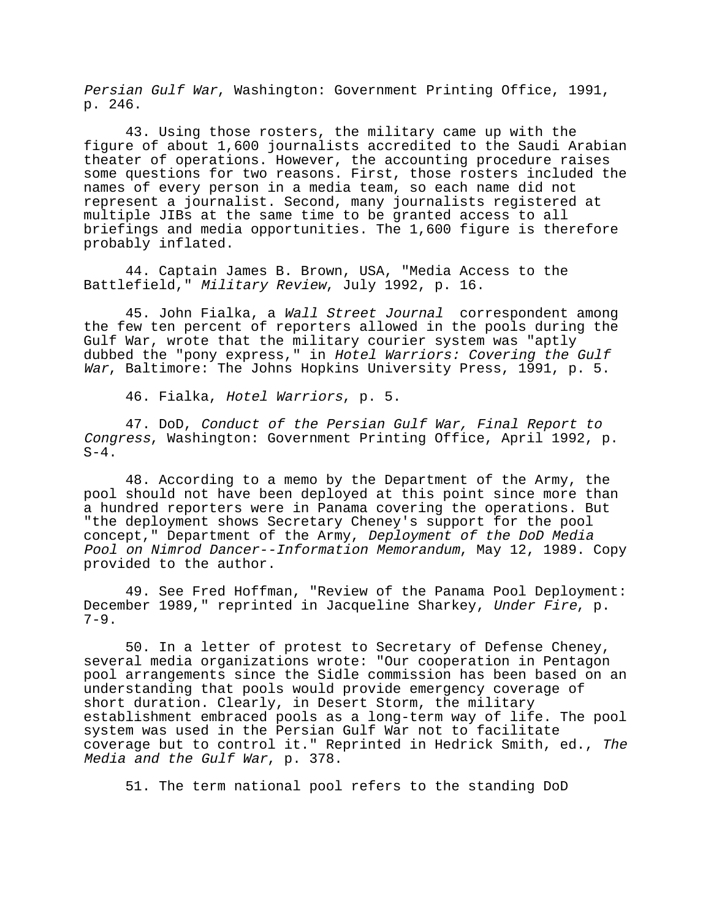Persian Gulf War, Washington: Government Printing Office, 1991, p. 246.

43. Using those rosters, the military came up with the figure of about 1,600 journalists accredited to the Saudi Arabian theater of operations. However, the accounting procedure raises some questions for two reasons. First, those rosters included the names of every person in a media team, so each name did not represent a journalist. Second, many journalists registered at multiple JIBs at the same time to be granted access to all briefings and media opportunities. The 1,600 figure is therefore probably inflated.

44. Captain James B. Brown, USA, "Media Access to the Battlefield," Military Review, July 1992, p. 16.

45. John Fialka, a Wall Street Journal correspondent among the few ten percent of reporters allowed in the pools during the Gulf War, wrote that the military courier system was "aptly dubbed the "pony express," in Hotel Warriors: Covering the Gulf War, Baltimore: The Johns Hopkins University Press, 1991, p. 5.

46. Fialka, Hotel Warriors, p. 5.

47. DoD, Conduct of the Persian Gulf War, Final Report to Congress, Washington: Government Printing Office, April 1992, p.  $S-4$ .

48. According to a memo by the Department of the Army, the pool should not have been deployed at this point since more than a hundred reporters were in Panama covering the operations. But "the deployment shows Secretary Cheney's support for the pool concept," Department of the Army, Deployment of the DoD Media Pool on Nimrod Dancer--Information Memorandum, May 12, 1989. Copy provided to the author.

49. See Fred Hoffman, "Review of the Panama Pool Deployment: December 1989," reprinted in Jacqueline Sharkey, Under Fire, p.  $7-9.$ 

50. In a letter of protest to Secretary of Defense Cheney, several media organizations wrote: "Our cooperation in Pentagon pool arrangements since the Sidle commission has been based on an understanding that pools would provide emergency coverage of short duration. Clearly, in Desert Storm, the military establishment embraced pools as a long-term way of life. The pool system was used in the Persian Gulf War not to facilitate coverage but to control it." Reprinted in Hedrick Smith, ed., The Media and the Gulf War, p. 378.

51. The term national pool refers to the standing DoD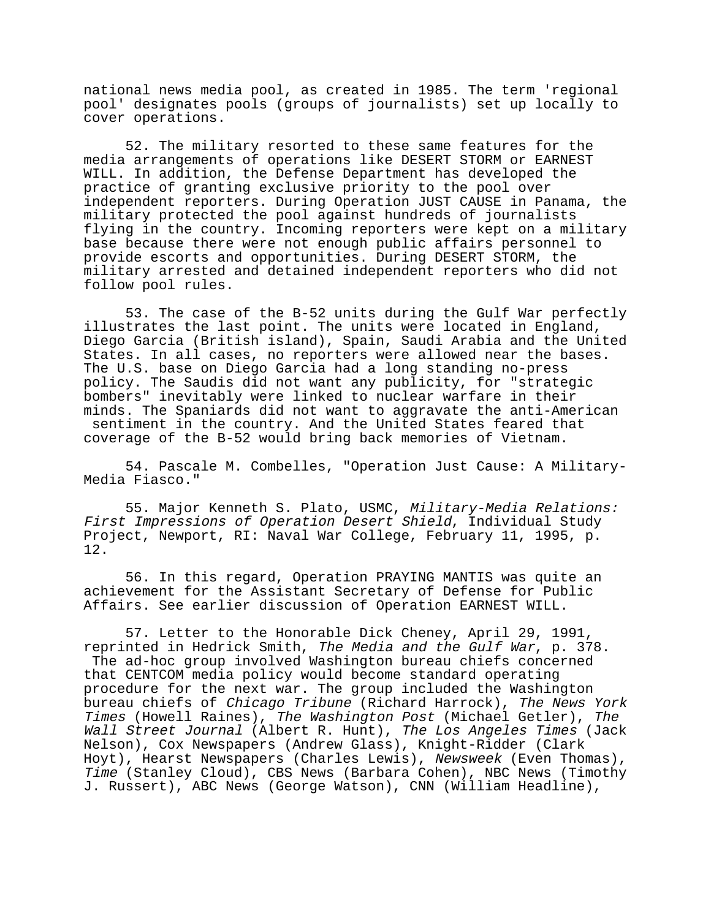national news media pool, as created in 1985. The term 'regional pool' designates pools (groups of journalists) set up locally to cover operations.

52. The military resorted to these same features for the media arrangements of operations like DESERT STORM or EARNEST WILL. In addition, the Defense Department has developed the practice of granting exclusive priority to the pool over independent reporters. During Operation JUST CAUSE in Panama, the military protected the pool against hundreds of journalists flying in the country. Incoming reporters were kept on a military base because there were not enough public affairs personnel to provide escorts and opportunities. During DESERT STORM, the military arrested and detained independent reporters who did not follow pool rules.

53. The case of the B-52 units during the Gulf War perfectly illustrates the last point. The units were located in England, Diego Garcia (British island), Spain, Saudi Arabia and the United States. In all cases, no reporters were allowed near the bases. The U.S. base on Diego Garcia had a long standing no-press policy. The Saudis did not want any publicity, for "strategic bombers" inevitably were linked to nuclear warfare in their minds. The Spaniards did not want to aggravate the anti-American sentiment in the country. And the United States feared that coverage of the B-52 would bring back memories of Vietnam.

54. Pascale M. Combelles, "Operation Just Cause: A Military-Media Fiasco."

55. Major Kenneth S. Plato, USMC, Military-Media Relations: First Impressions of Operation Desert Shield, Individual Study Project, Newport, RI: Naval War College, February 11, 1995, p. 12.

56. In this regard, Operation PRAYING MANTIS was quite an achievement for the Assistant Secretary of Defense for Public Affairs. See earlier discussion of Operation EARNEST WILL.

57. Letter to the Honorable Dick Cheney, April 29, 1991, reprinted in Hedrick Smith, The Media and the Gulf War, p. 378. The ad-hoc group involved Washington bureau chiefs concerned that CENTCOM media policy would become standard operating procedure for the next war. The group included the Washington bureau chiefs of Chicago Tribune (Richard Harrock), The News York Times (Howell Raines), The Washington Post (Michael Getler), The Wall Street Journal (Albert R. Hunt), The Los Angeles Times (Jack Nelson), Cox Newspapers (Andrew Glass), Knight-Ridder (Clark Hoyt), Hearst Newspapers (Charles Lewis), Newsweek (Even Thomas), Time (Stanley Cloud), CBS News (Barbara Cohen), NBC News (Timothy J. Russert), ABC News (George Watson), CNN (William Headline),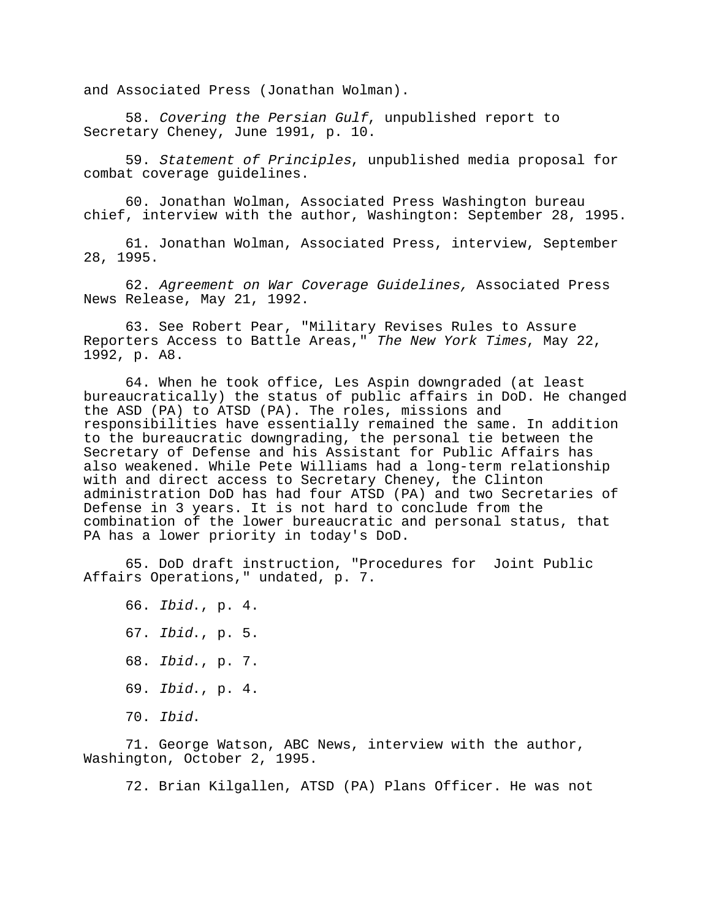and Associated Press (Jonathan Wolman).

58. Covering the Persian Gulf, unpublished report to Secretary Cheney, June 1991, p. 10.

59. Statement of Principles, unpublished media proposal for combat coverage guidelines.

60. Jonathan Wolman, Associated Press Washington bureau chief, interview with the author, Washington: September 28, 1995.

61. Jonathan Wolman, Associated Press, interview, September 28, 1995.

62. Agreement on War Coverage Guidelines, Associated Press News Release, May 21, 1992.

63. See Robert Pear, "Military Revises Rules to Assure Reporters Access to Battle Areas," The New York Times, May 22, 1992, p. A8.

64. When he took office, Les Aspin downgraded (at least bureaucratically) the status of public affairs in DoD. He changed the ASD (PA) to ATSD (PA). The roles, missions and responsibilities have essentially remained the same. In addition to the bureaucratic downgrading, the personal tie between the Secretary of Defense and his Assistant for Public Affairs has also weakened. While Pete Williams had a long-term relationship with and direct access to Secretary Cheney, the Clinton administration DoD has had four ATSD (PA) and two Secretaries of Defense in 3 years. It is not hard to conclude from the combination of the lower bureaucratic and personal status, that PA has a lower priority in today's DoD.

65. DoD draft instruction, "Procedures for Joint Public Affairs Operations," undated, p. 7.

66. Ibid., p. 4. 67. Ibid., p. 5. 68. Ibid., p. 7. 69. Ibid., p. 4. 70. Ibid.

71. George Watson, ABC News, interview with the author, Washington, October 2, 1995.

72. Brian Kilgallen, ATSD (PA) Plans Officer. He was not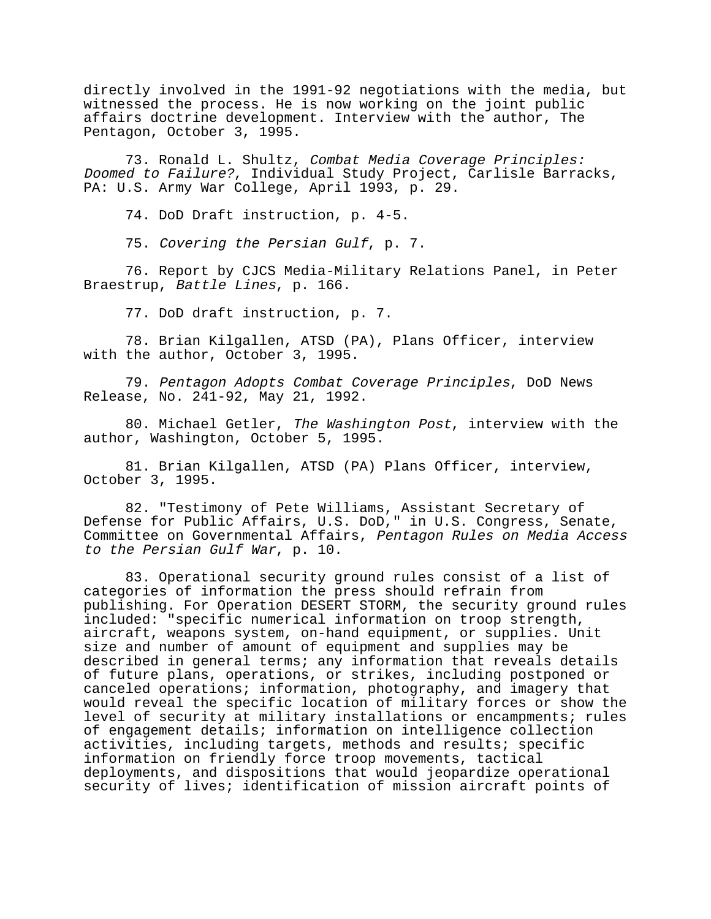directly involved in the 1991-92 negotiations with the media, but witnessed the process. He is now working on the joint public affairs doctrine development. Interview with the author, The Pentagon, October 3, 1995.

73. Ronald L. Shultz, Combat Media Coverage Principles: Doomed to Failure?, Individual Study Project, Carlisle Barracks, PA: U.S. Army War College, April 1993, p. 29.

74. DoD Draft instruction, p. 4-5.

75. Covering the Persian Gulf, p. 7.

76. Report by CJCS Media-Military Relations Panel, in Peter Braestrup, Battle Lines, p. 166.

77. DoD draft instruction, p. 7.

78. Brian Kilgallen, ATSD (PA), Plans Officer, interview with the author, October 3, 1995.

79. Pentagon Adopts Combat Coverage Principles, DoD News Release, No. 241-92, May 21, 1992.

80. Michael Getler, The Washington Post, interview with the author, Washington, October 5, 1995.

81. Brian Kilgallen, ATSD (PA) Plans Officer, interview, October 3, 1995.

82. "Testimony of Pete Williams, Assistant Secretary of Defense for Public Affairs, U.S. DoD," in U.S. Congress, Senate, Committee on Governmental Affairs, Pentagon Rules on Media Access to the Persian Gulf War, p. 10.

83. Operational security ground rules consist of a list of categories of information the press should refrain from publishing. For Operation DESERT STORM, the security ground rules included: "specific numerical information on troop strength, aircraft, weapons system, on-hand equipment, or supplies. Unit size and number of amount of equipment and supplies may be described in general terms; any information that reveals details of future plans, operations, or strikes, including postponed or canceled operations; information, photography, and imagery that would reveal the specific location of military forces or show the level of security at military installations or encampments; rules of engagement details; information on intelligence collection activities, including targets, methods and results; specific information on friendly force troop movements, tactical deployments, and dispositions that would jeopardize operational security of lives; identification of mission aircraft points of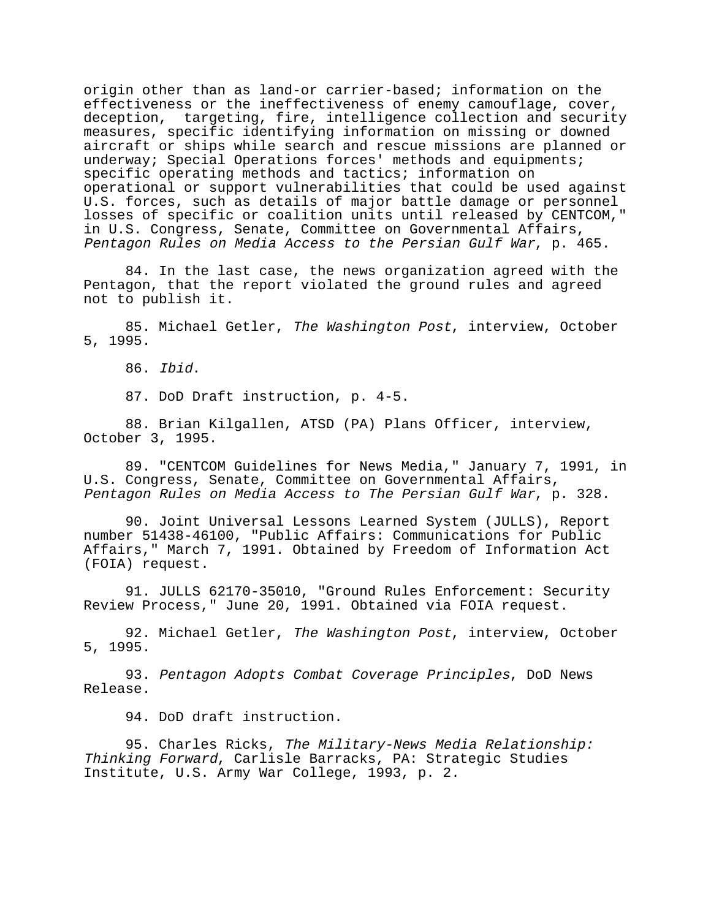origin other than as land-or carrier-based; information on the effectiveness or the ineffectiveness of enemy camouflage, cover, deception, targeting, fire, intelligence collection and security measures, specific identifying information on missing or downed aircraft or ships while search and rescue missions are planned or underway; Special Operations forces' methods and equipments; specific operating methods and tactics; information on operational or support vulnerabilities that could be used against U.S. forces, such as details of major battle damage or personnel losses of specific or coalition units until released by CENTCOM," in U.S. Congress, Senate, Committee on Governmental Affairs, Pentagon Rules on Media Access to the Persian Gulf War, p. 465.

84. In the last case, the news organization agreed with the Pentagon, that the report violated the ground rules and agreed not to publish it.

85. Michael Getler, The Washington Post, interview, October 5, 1995.

86. Ibid.

87. DoD Draft instruction, p. 4-5.

88. Brian Kilgallen, ATSD (PA) Plans Officer, interview, October 3, 1995.

89. "CENTCOM Guidelines for News Media," January 7, 1991, in U.S. Congress, Senate, Committee on Governmental Affairs, Pentagon Rules on Media Access to The Persian Gulf War, p. 328.

90. Joint Universal Lessons Learned System (JULLS), Report number 51438-46100, "Public Affairs: Communications for Public Affairs," March 7, 1991. Obtained by Freedom of Information Act (FOIA) request.

91. JULLS 62170-35010, "Ground Rules Enforcement: Security Review Process," June 20, 1991. Obtained via FOIA request.

92. Michael Getler, The Washington Post, interview, October 5, 1995.

93. Pentagon Adopts Combat Coverage Principles, DoD News Release.

94. DoD draft instruction.

95. Charles Ricks, The Military-News Media Relationship: Thinking Forward, Carlisle Barracks, PA: Strategic Studies Institute, U.S. Army War College, 1993, p. 2.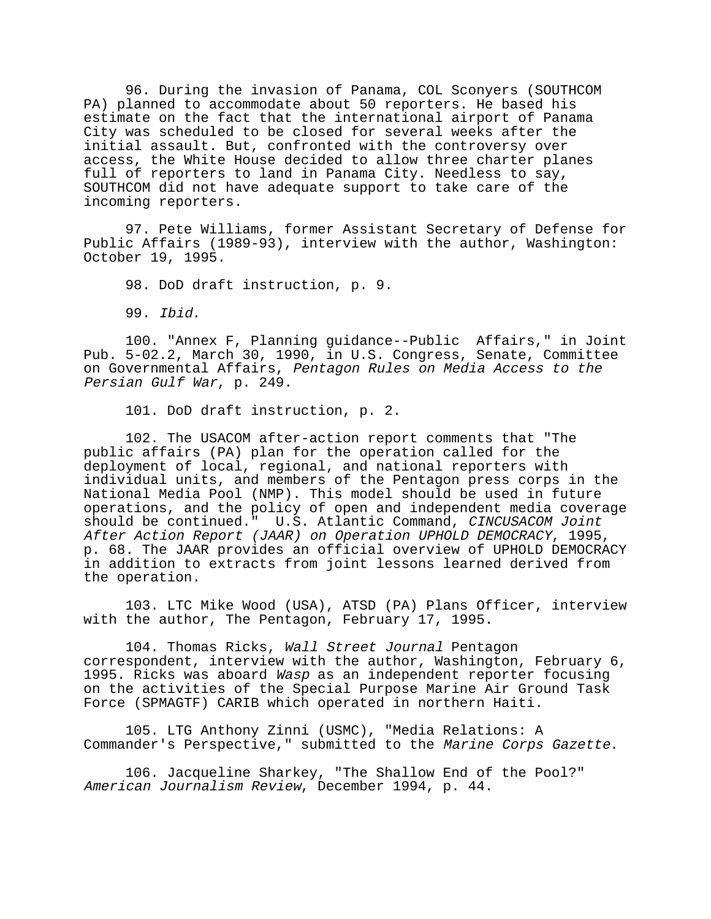96. During the invasion of Panama, COL Sconyers (SOUTHCOM PA) planned to accommodate about 50 reporters. He based his estimate on the fact that the international airport of Panama City was scheduled to be closed for several weeks after the initial assault. But, confronted with the controversy over access, the White House decided to allow three charter planes full of reporters to land in Panama City. Needless to say, SOUTHCOM did not have adequate support to take care of the incoming reporters.

97. Pete Williams, former Assistant Secretary of Defense for Public Affairs (1989-93), interview with the author, Washington: October 19, 1995.

98. DoD draft instruction, p. 9.

99. Ibid.

100. "Annex F, Planning guidance--Public Affairs," in Joint Pub. 5-02.2, March 30, 1990, in U.S. Congress, Senate, Committee on Governmental Affairs, Pentagon Rules on Media Access to the Persian Gulf War, p. 249.

101. DoD draft instruction, p. 2.

102. The USACOM after-action report comments that "The public affairs (PA) plan for the operation called for the deployment of local, regional, and national reporters with individual units, and members of the Pentagon press corps in the National Media Pool (NMP). This model should be used in future operations, and the policy of open and independent media coverage should be continued." U.S. Atlantic Command, CINCUSACOM Joint After Action Report (JAAR) on Operation UPHOLD DEMOCRACY, 1995, p. 68. The JAAR provides an official overview of UPHOLD DEMOCRACY in addition to extracts from joint lessons learned derived from the operation.

103. LTC Mike Wood (USA), ATSD (PA) Plans Officer, interview with the author, The Pentagon, February 17, 1995.

104. Thomas Ricks, Wall Street Journal Pentagon correspondent, interview with the author, Washington, February 6, 1995. Ricks was aboard Wasp as an independent reporter focusing on the activities of the Special Purpose Marine Air Ground Task Force (SPMAGTF) CARIB which operated in northern Haiti.

105. LTG Anthony Zinni (USMC), "Media Relations: A Commander's Perspective," submitted to the Marine Corps Gazette.

106. Jacqueline Sharkey, "The Shallow End of the Pool?" American Journalism Review, December 1994, p. 44.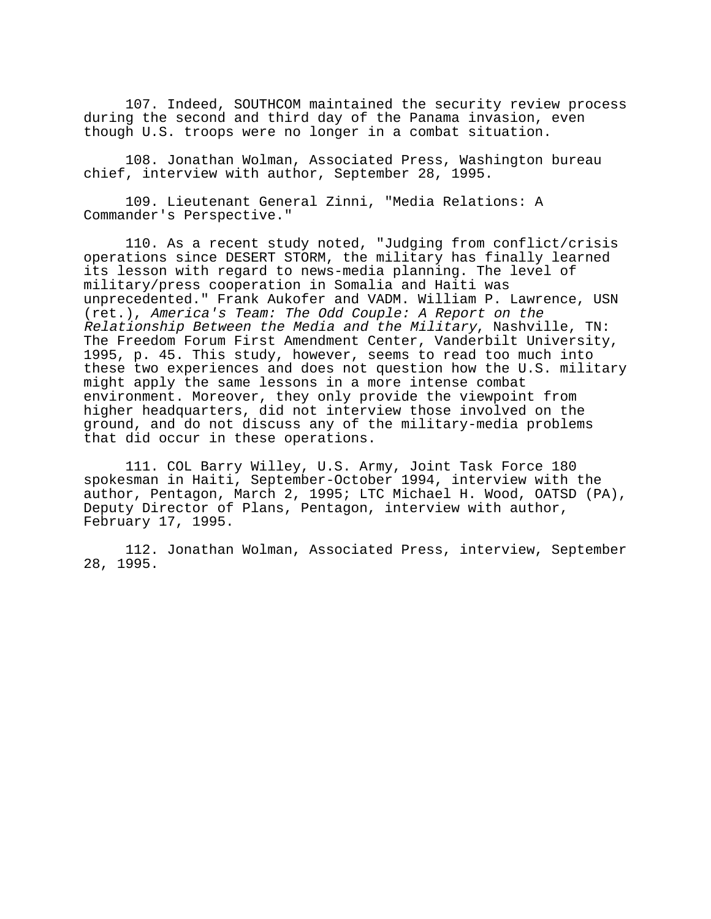107. Indeed, SOUTHCOM maintained the security review process during the second and third day of the Panama invasion, even though U.S. troops were no longer in a combat situation.

108. Jonathan Wolman, Associated Press, Washington bureau chief, interview with author, September 28, 1995.

109. Lieutenant General Zinni, "Media Relations: A Commander's Perspective."

110. As a recent study noted, "Judging from conflict/crisis operations since DESERT STORM, the military has finally learned its lesson with regard to news-media planning. The level of military/press cooperation in Somalia and Haiti was unprecedented." Frank Aukofer and VADM. William P. Lawrence, USN (ret.), America's Team: The Odd Couple: A Report on the Relationship Between the Media and the Military, Nashville, TN: The Freedom Forum First Amendment Center, Vanderbilt University, 1995, p. 45. This study, however, seems to read too much into these two experiences and does not question how the U.S. military might apply the same lessons in a more intense combat environment. Moreover, they only provide the viewpoint from higher headquarters, did not interview those involved on the ground, and do not discuss any of the military-media problems that did occur in these operations.

111. COL Barry Willey, U.S. Army, Joint Task Force 180 spokesman in Haiti, September-October 1994, interview with the author, Pentagon, March 2, 1995; LTC Michael H. Wood, OATSD (PA), Deputy Director of Plans, Pentagon, interview with author, February 17, 1995.

112. Jonathan Wolman, Associated Press, interview, September 28, 1995.